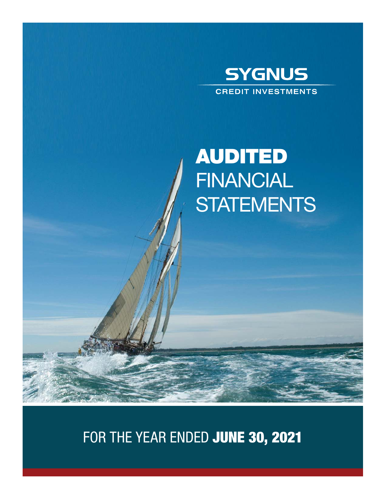

# AUDITED FINANCIAL **STATEMENTS**

FOR THE YEAR ENDED JUNE 30, 2021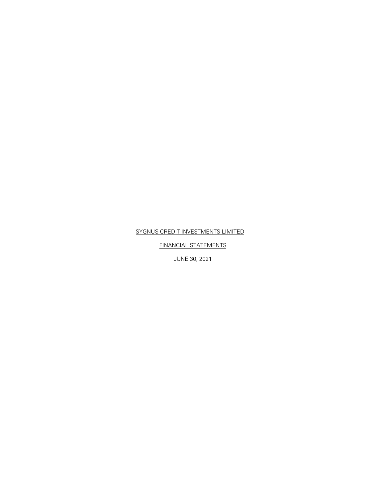FINANCIAL STATEMENTS

JUNE 30, 2021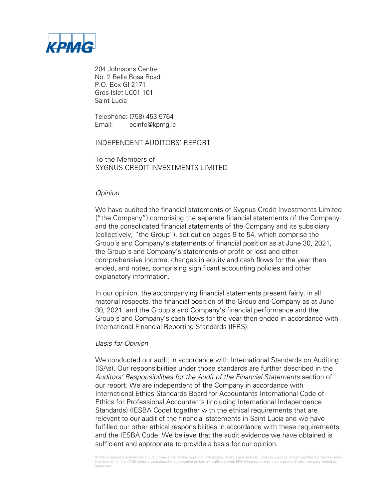

204 Johnsons Centre No. 2 Bella Rosa Road P.O. Box GI 2171 Gros-Islet LC01 101 Saint Lucia

Telephone: (758) 453-5764 Email: ecinfo@kpmg.lc

## INDEPENDENT AUDITORS' REPORT

To the Members of SYGNUS CREDIT INVESTMENTS LIMITED

## **Opinion**

We have audited the financial statements of Sygnus Credit Investments Limited ("the Company") comprising the separate financial statements of the Company and the consolidated financial statements of the Company and its subsidiary (collectively, "the Group"), set out on pages 9 to 54, which comprise the Group's and Company's statements of financial position as at June 30, 2021, the Group's and Company's statements of profit or loss and other comprehensive income, changes in equity and cash flows for the year then ended, and notes, comprising significant accounting policies and other explanatory information.

In our opinion, the accompanying financial statements present fairly, in all material respects, the financial position of the Group and Company as at June 30, 2021, and the Group's and Company's financial performance and the Group's and Company's cash flows for the year then ended in accordance with International Financial Reporting Standards (IFRS).

## Basis for Opinion

We conducted our audit in accordance with International Standards on Auditing (ISAs). Our responsibilities under those standards are further described in the Auditors' Responsibilities for the Audit of the Financial Statements section of our report. We are independent of the Company in accordance with International Ethics Standards Board for Accountants International Code of Ethics for Professional Accountants (including International Independence Standards) (IESBA Code) together with the ethical requirements that are relevant to our audit of the financial statements in Saint Lucia and we have fulfilled our other ethical responsibilities in accordance with these requirements and the IESBA Code. We believe that the audit evidence we have obtained is sufficient and appropriate to provide a basis for our opinion.

KPMG in Barbados and the Eastern Caribbean, a partnership registered in Barbados, Antigua and Barbuda, Saint Lucia and St. Vincent and the Grenadines, and a<br>member firm of the KPMG global organization of independent member guarantee.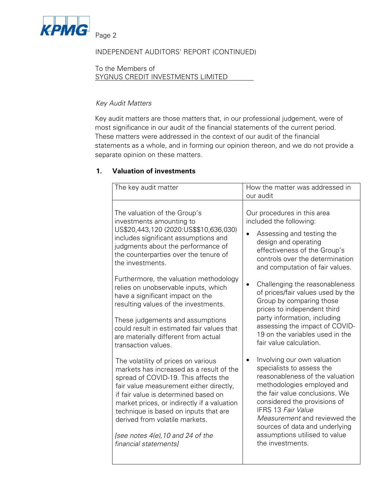

Page 2

# INDEPENDENT AUDITORS' REPORT (CONTINUED)

To the Members of SYGNUS CREDIT INVESTMENTS LIMITED

# Key Audit Matters

Key audit matters are those matters that, in our professional judgement, were of most significance in our audit of the financial statements of the current period. These matters were addressed in the context of our audit of the financial statements as a whole, and in forming our opinion thereon, and we do not provide a separate opinion on these matters.

# **1. Valuation of investments**

| The key audit matter                                                                                                                                                                                                                                                                                                                                                                                                                                                                                                                                         | How the matter was addressed in<br>our audit                                                                                                                                                                                                                                                                                                                                                                                                                                                     |
|--------------------------------------------------------------------------------------------------------------------------------------------------------------------------------------------------------------------------------------------------------------------------------------------------------------------------------------------------------------------------------------------------------------------------------------------------------------------------------------------------------------------------------------------------------------|--------------------------------------------------------------------------------------------------------------------------------------------------------------------------------------------------------------------------------------------------------------------------------------------------------------------------------------------------------------------------------------------------------------------------------------------------------------------------------------------------|
| The valuation of the Group's<br>investments amounting to<br>US\$20,443,120 (2020:US\$\$10,636,030)<br>includes significant assumptions and<br>judgments about the performance of<br>the counterparties over the tenure of<br>the investments.<br>Furthermore, the valuation methodology<br>relies on unobservable inputs, which<br>have a significant impact on the<br>resulting values of the investments.<br>These judgements and assumptions<br>could result in estimated fair values that<br>are materially different from actual<br>transaction values. | Our procedures in this area<br>included the following:<br>Assessing and testing the<br>design and operating<br>effectiveness of the Group's<br>controls over the determination<br>and computation of fair values.<br>Challenging the reasonableness<br>$\bullet$<br>of prices/fair values used by the<br>Group by comparing those<br>prices to independent third<br>party information, including<br>assessing the impact of COVID-<br>19 on the variables used in the<br>fair value calculation. |
| The volatility of prices on various<br>markets has increased as a result of the<br>spread of COVID-19. This affects the<br>fair value measurement either directly,<br>if fair value is determined based on<br>market prices, or indirectly if a valuation<br>technique is based on inputs that are<br>derived from volatile markets.<br>[see notes $4(e)$ , 10 and 24 of the<br>financial statements)                                                                                                                                                        | Involving our own valuation<br>specialists to assess the<br>reasonableness of the valuation<br>methodologies employed and<br>the fair value conclusions. We<br>considered the provisions of<br><b>IFRS 13 Fair Value</b><br>Measurement and reviewed the<br>sources of data and underlying<br>assumptions utilised to value<br>the investments.                                                                                                                                                  |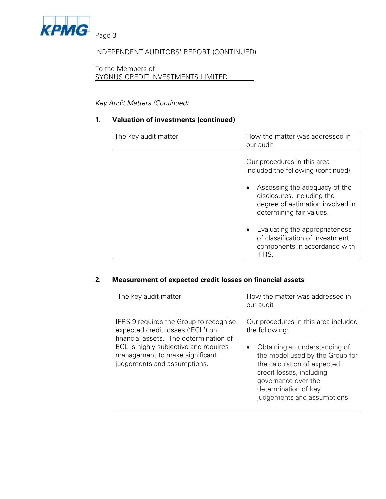

INDEPENDENT AUDITORS' REPORT (CONTINUED)

To the Members of SYGNUS CREDIT INVESTMENTS LIMITED

# Key Audit Matters (Continued)

# **1. Valuation of investments (continued)**

| The key audit matter | How the matter was addressed in<br>our audit                                                                                |
|----------------------|-----------------------------------------------------------------------------------------------------------------------------|
|                      | Our procedures in this area<br>included the following (continued):                                                          |
|                      | Assessing the adequacy of the<br>disclosures, including the<br>degree of estimation involved in<br>determining fair values. |
|                      | Evaluating the appropriateness<br>of classification of investment<br>components in accordance with<br>IFRS.                 |

# **2. Measurement of expected credit losses on financial assets**

| The key audit matter                                                                                                                                                                                                            | How the matter was addressed in<br>our audit                                                                                                                                                                                                                        |
|---------------------------------------------------------------------------------------------------------------------------------------------------------------------------------------------------------------------------------|---------------------------------------------------------------------------------------------------------------------------------------------------------------------------------------------------------------------------------------------------------------------|
| IFRS 9 requires the Group to recognise<br>expected credit losses ('ECL') on<br>financial assets. The determination of<br>ECL is highly subjective and requires<br>management to make significant<br>judgements and assumptions. | Our procedures in this area included<br>the following:<br>Obtaining an understanding of<br>the model used by the Group for<br>the calculation of expected<br>credit losses, including<br>governance over the<br>determination of key<br>judgements and assumptions. |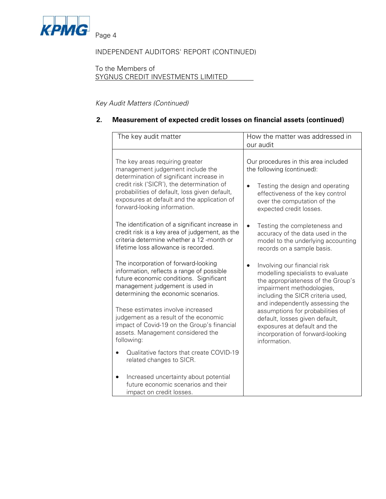

# INDEPENDENT AUDITORS' REPORT (CONTINUED)

To the Members of SYGNUS CREDIT INVESTMENTS LIMITED

# Key Audit Matters (Continued)

# **2. Measurement of expected credit losses on financial assets (continued)**

| The key audit matter                                                                                                                                                                                                                                                                          | How the matter was addressed in                                                                                                                                                                      |
|-----------------------------------------------------------------------------------------------------------------------------------------------------------------------------------------------------------------------------------------------------------------------------------------------|------------------------------------------------------------------------------------------------------------------------------------------------------------------------------------------------------|
|                                                                                                                                                                                                                                                                                               | our audit                                                                                                                                                                                            |
| The key areas requiring greater<br>management judgement include the<br>determination of significant increase in<br>credit risk ('SICR'), the determination of<br>probabilities of default, loss given default,<br>exposures at default and the application of<br>forward-looking information. | Our procedures in this area included<br>the following (continued):<br>Testing the design and operating<br>effectiveness of the key control<br>over the computation of the<br>expected credit losses. |
| The identification of a significant increase in<br>credit risk is a key area of judgement, as the<br>criteria determine whether a 12-month or<br>lifetime loss allowance is recorded.                                                                                                         | Testing the completeness and<br>accuracy of the data used in the<br>model to the underlying accounting<br>records on a sample basis.                                                                 |
| The incorporation of forward-looking<br>information, reflects a range of possible<br>future economic conditions. Significant<br>management judgement is used in<br>determining the economic scenarios.                                                                                        | Involving our financial risk<br>modelling specialists to evaluate<br>the appropriateness of the Group's<br>impairment methodologies,<br>including the SICR criteria used,                            |
| These estimates involve increased<br>judgement as a result of the economic<br>impact of Covid-19 on the Group's financial<br>assets. Management considered the<br>following:                                                                                                                  | and independently assessing the<br>assumptions for probabilities of<br>default, losses given default,<br>exposures at default and the<br>incorporation of forward-looking<br>information.            |
| Qualitative factors that create COVID-19<br>$\bullet$<br>related changes to SICR.                                                                                                                                                                                                             |                                                                                                                                                                                                      |
| Increased uncertainty about potential<br>future economic scenarios and their<br>impact on credit losses.                                                                                                                                                                                      |                                                                                                                                                                                                      |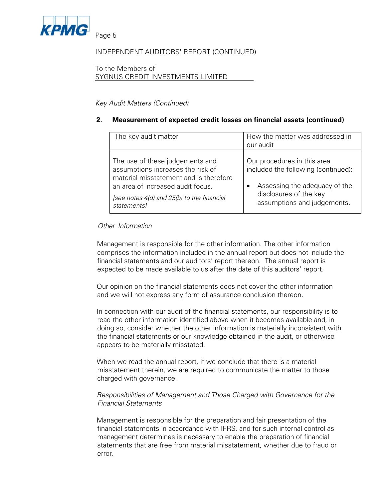

Page 5

# INDEPENDENT AUDITORS' REPORT (CONTINUED)

To the Members of SYGNUS CREDIT INVESTMENTS LIMITED

## Key Audit Matters (Continued)

## **2. Measurement of expected credit losses on financial assets (continued)**

| The key audit matter                                                                                                                                                                                             | How the matter was addressed in<br>our audit                                                                                                                 |
|------------------------------------------------------------------------------------------------------------------------------------------------------------------------------------------------------------------|--------------------------------------------------------------------------------------------------------------------------------------------------------------|
| The use of these judgements and<br>assumptions increases the risk of<br>material misstatement and is therefore<br>an area of increased audit focus.<br>[see notes 4(d) and 25(b) to the financial<br>statements] | Our procedures in this area<br>included the following (continued):<br>Assessing the adequacy of the<br>disclosures of the key<br>assumptions and judgements. |

## Other Information

Management is responsible for the other information. The other information comprises the information included in the annual report but does not include the financial statements and our auditors' report thereon. The annual report is expected to be made available to us after the date of this auditors' report.

Our opinion on the financial statements does not cover the other information and we will not express any form of assurance conclusion thereon.

In connection with our audit of the financial statements, our responsibility is to read the other information identified above when it becomes available and, in doing so, consider whether the other information is materially inconsistent with the financial statements or our knowledge obtained in the audit, or otherwise appears to be materially misstated.

When we read the annual report, if we conclude that there is a material misstatement therein, we are required to communicate the matter to those charged with governance.

## Responsibilities of Management and Those Charged with Governance for the Financial Statements

Management is responsible for the preparation and fair presentation of the financial statements in accordance with IFRS, and for such internal control as management determines is necessary to enable the preparation of financial statements that are free from material misstatement, whether due to fraud or error.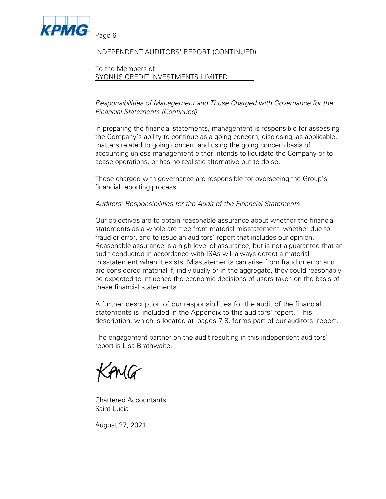

INDEPENDENT AUDITORS' REPORT (CONTINUED)

To the Members of SYGNUS CREDIT INVESTMENTS LIMITED

Responsibilities of Management and Those Charged with Governance for the Financial Statements (Continued)

In preparing the financial statements, management is responsible for assessing the Company's ability to continue as a going concern, disclosing, as applicable, matters related to going concern and using the going concern basis of accounting unless management either intends to liquidate the Company or to cease operations, or has no realistic alternative but to do so.

Those charged with governance are responsible for overseeing the Group's financial reporting process.

## Auditors' Responsibilities for the Audit of the Financial Statements

Our objectives are to obtain reasonable assurance about whether the financial statements as a whole are free from material misstatement, whether due to fraud or error, and to issue an auditors' report that includes our opinion. Reasonable assurance is a high level of assurance, but is not a guarantee that an audit conducted in accordance with ISAs will always detect a material misstatement when it exists. Misstatements can arise from fraud or error and are considered material if, individually or in the aggregate, they could reasonably be expected to influence the economic decisions of users taken on the basis of these financial statements.

A further description of our responsibilities for the audit of the financial statements is included in the Appendix to this auditors' report. This description, which is located at pages 7-8, forms part of our auditors' report.

The engagement partner on the audit resulting in this independent auditors' report is Lisa Brathwaite.

SPMG

Chartered Accountants Saint Lucia

August 27, 2021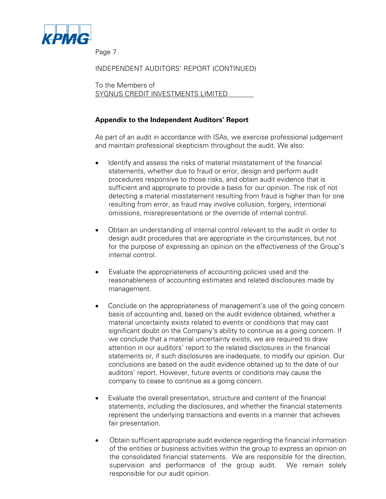

Page 7

INDEPENDENT AUDITORS' REPORT (CONTINUED)

To the Members of SYGNUS CREDIT INVESTMENTS LIMITED

## **Appendix to the Independent Auditors' Report**

As part of an audit in accordance with ISAs, we exercise professional judgement and maintain professional skepticism throughout the audit. We also:

- Identify and assess the risks of material misstatement of the financial statements, whether due to fraud or error, design and perform audit procedures responsive to those risks, and obtain audit evidence that is sufficient and appropriate to provide a basis for our opinion. The risk of not detecting a material misstatement resulting from fraud is higher than for one resulting from error, as fraud may involve collusion, forgery, intentional omissions, misrepresentations or the override of internal control.
- Obtain an understanding of internal control relevant to the audit in order to design audit procedures that are appropriate in the circumstances, but not for the purpose of expressing an opinion on the effectiveness of the Group's internal control.
- Evaluate the appropriateness of accounting policies used and the reasonableness of accounting estimates and related disclosures made by management.
- Conclude on the appropriateness of management's use of the going concern basis of accounting and, based on the audit evidence obtained, whether a material uncertainty exists related to events or conditions that may cast significant doubt on the Company's ability to continue as a going concern. If we conclude that a material uncertainty exists, we are required to draw attention in our auditors' report to the related disclosures in the financial statements or, if such disclosures are inadequate, to modify our opinion. Our conclusions are based on the audit evidence obtained up to the date of our auditors' report. However, future events or conditions may cause the company to cease to continue as a going concern.
- Evaluate the overall presentation, structure and content of the financial statements, including the disclosures, and whether the financial statements represent the underlying transactions and events in a manner that achieves fair presentation.
- Obtain sufficient appropriate audit evidence regarding the financial information of the entities or business activities within the group to express an opinion on the consolidated financial statements. We are responsible for the direction, supervision and performance of the group audit. We remain solely responsible for our audit opinion.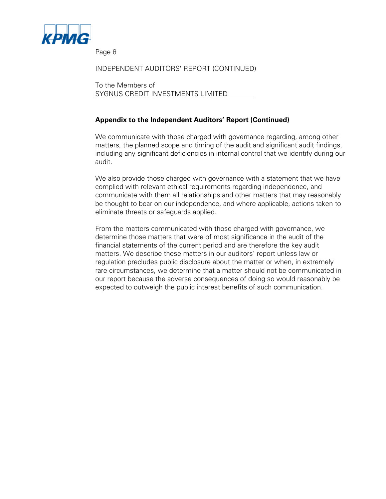

Page 8

INDEPENDENT AUDITORS' REPORT (CONTINUED)

To the Members of SYGNUS CREDIT INVESTMENTS LIMITED

## **Appendix to the Independent Auditors' Report (Continued)**

We communicate with those charged with governance regarding, among other matters, the planned scope and timing of the audit and significant audit findings, including any significant deficiencies in internal control that we identify during our audit.

We also provide those charged with governance with a statement that we have complied with relevant ethical requirements regarding independence, and communicate with them all relationships and other matters that may reasonably be thought to bear on our independence, and where applicable, actions taken to eliminate threats or safeguards applied.

From the matters communicated with those charged with governance, we determine those matters that were of most significance in the audit of the financial statements of the current period and are therefore the key audit matters. We describe these matters in our auditors' report unless law or regulation precludes public disclosure about the matter or when, in extremely rare circumstances, we determine that a matter should not be communicated in our report because the adverse consequences of doing so would reasonably be expected to outweigh the public interest benefits of such communication.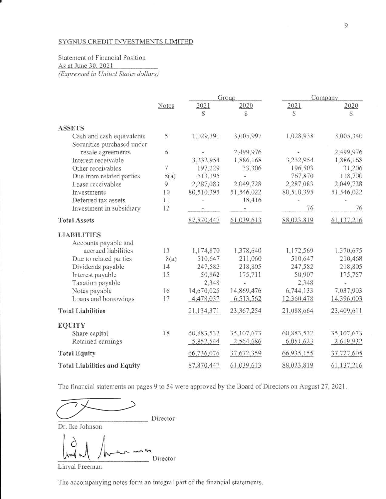## Statement of Financial Position As at June 30, 2021 (Expressed in United States dollars)

|                                     |       |            | Group      |            | Company    |
|-------------------------------------|-------|------------|------------|------------|------------|
|                                     | Notes | 2021       | 2020       | 2021       | 2020       |
|                                     |       | S          | \$         | S          | S          |
| <b>ASSETS</b>                       |       |            |            |            |            |
| Cash and cash equivalents           | 5     | 1,029,391  | 3,005,997  | 1,028,938  | 3,005,340  |
| Securities purchased under          |       |            |            |            |            |
| resale agreements                   | 6     |            | 2,499,976  |            | 2,499,976  |
| Interest receivable                 |       | 3,232,954  | 1,886,168  | 3,232,954  | 1,886,168  |
| Other receivables                   | 7     | 197,229    | 33,306     | 196,503    | 31,206     |
| Due from related parties            | 8(a)  | 613,395    |            | 767,870    | 118,700    |
| Lease receivables                   | 9     | 2,287,083  | 2,049,728  | 2,287,083  | 2,049,728  |
| Investments                         | 10    | 80,510,395 | 51,546,022 | 80,510,395 | 51,546,022 |
| Deferred tax assets                 | 11    |            | 18,416     |            |            |
| Investment in subsidiary            | 12    |            |            | 76         | 76         |
| <b>Total Assets</b>                 |       | 87,870,447 | 61.039.613 | 88,023.819 | 61,137,216 |
| <b>LIABILITIES</b>                  |       |            |            |            |            |
| Accounts payable and                |       |            |            |            |            |
| accrued liabilities                 | 13    | 1,174,870  | 1,378,640  | 1,172,569  | 1,370,675  |
| Due to related parties              | 8(a)  | 510,647    | 211,060    | 510,647    | 210,468    |
| Dividends payable                   | 14    | 247,582    | 218,805    | 247,582    | 218,805    |
| Interest payable                    | 15    | 50,862     | 175,711    | 50,907     | 175,757    |
| Taxation payable                    |       | 2,348      |            | 2,348      |            |
| Notes payable                       | 16    | 14,670,025 | 14,869,476 | 6,744,133  | 7,037,903  |
| Loans and borrowings                | 17    | 4,478,037  | 6,513,562  | 12,360,478 | 14,396,003 |
| <b>Total Liabilities</b>            |       | 21,134,371 | 23,367,254 | 21,088,664 | 23,409,611 |
| <b>EQUITY</b>                       |       |            |            |            |            |
| Share capital                       | 18    | 60,883,532 | 35,107,673 | 60,883,532 | 35,107,673 |
| Retained earnings                   |       | 5,852,544  | 2,564,686  | 6,051,623  | 2,619,932  |
| <b>Total Equity</b>                 |       | 66,736,076 | 37,672,359 | 66,935,155 | 37,727,605 |
| <b>Total Liabilities and Equity</b> |       | 87,870,447 | 61,039,613 | 88,023,819 | 61,137,216 |

The financial statements on pages 9 to 54 were approved by the Board of Directors on August 27, 2021.

Director

Dr. Ike Johnson

l^irf A^ \*'Di.",,o,

Linval Freeman

The accompanying notes form an integral part of the financial statements.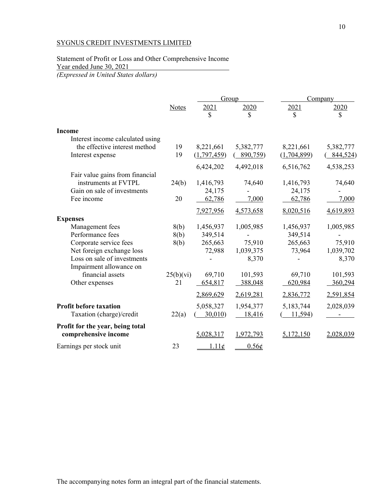Statement of Profit or Loss and Other Comprehensive Income Year ended June 30, 2021 *(Expressed in United States dollars)* 

|                                  |              | Group       |               |             | Company   |
|----------------------------------|--------------|-------------|---------------|-------------|-----------|
|                                  | <b>Notes</b> | 2021        | 2020          | 2021        | 2020      |
|                                  |              | \$          | \$            | \$          | \$        |
| Income                           |              |             |               |             |           |
| Interest income calculated using |              |             |               |             |           |
| the effective interest method    | 19           | 8,221,661   | 5,382,777     | 8,221,661   | 5,382,777 |
| Interest expense                 | 19           | (1,797,459) | 890,759)      | (1,704,899) | 844,524)  |
|                                  |              | 6,424,202   | 4,492,018     | 6,516,762   | 4,538,253 |
| Fair value gains from financial  |              |             |               |             |           |
| instruments at FVTPL             | 24(b)        | 1,416,793   | 74,640        | 1,416,793   | 74,640    |
| Gain on sale of investments      |              | 24,175      |               | 24,175      |           |
| Fee income                       | 20           | 62,786      | 7,000         | 62,786      | 7,000     |
|                                  |              | 7,927,956   | 4,573,658     | 8,020,516   | 4,619,893 |
| <b>Expenses</b>                  |              |             |               |             |           |
| Management fees                  | 8(b)         | 1,456,937   | 1,005,985     | 1,456,937   | 1,005,985 |
| Performance fees                 | 8(b)         | 349,514     |               | 349,514     |           |
| Corporate service fees           | 8(b)         | 265,663     | 75,910        | 265,663     | 75,910    |
| Net foreign exchange loss        |              | 72,988      | 1,039,375     | 73,964      | 1,039,702 |
| Loss on sale of investments      |              |             | 8,370         |             | 8,370     |
| Impairment allowance on          |              |             |               |             |           |
| financial assets                 | 25(b)(vi)    | 69,710      | 101,593       | 69,710      | 101,593   |
| Other expenses                   | 21           | 654,817     | 388,048       | 620,984     | 360,294   |
|                                  |              | 2,869,629   | 2,619,281     | 2,836,772   | 2,591,854 |
| <b>Profit before taxation</b>    |              | 5,058,327   | 1,954,377     | 5,183,744   | 2,028,039 |
| Taxation (charge)/credit         | 22(a)        | 30,010      | <u>18,416</u> | 11,594)     |           |
| Profit for the year, being total |              |             |               |             |           |
| comprehensive income             |              | 5,028,317   | 1,972,793     | 5,172,150   | 2,028,039 |
| Earnings per stock unit          | 23           | 1.11c       | 0.56¢         |             |           |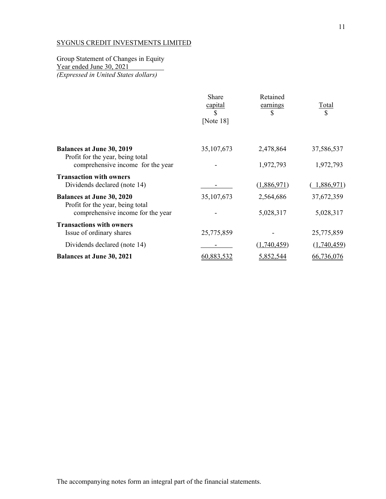Group Statement of Changes in Equity Year ended June 30, 2021 *(Expressed in United States dollars)* 

|                                                                                                           | Share<br>capital<br>[Note $18$ ] | Retained<br>earnings<br>\$ | <u>Total</u><br>\$      |
|-----------------------------------------------------------------------------------------------------------|----------------------------------|----------------------------|-------------------------|
| <b>Balances at June 30, 2019</b><br>Profit for the year, being total<br>comprehensive income for the year | 35, 107, 673                     | 2,478,864<br>1,972,793     | 37,586,537<br>1,972,793 |
| <b>Transaction with owners</b><br>Dividends declared (note 14)                                            |                                  | (1,886,971)                | <u>1,886,971</u> )      |
| <b>Balances at June 30, 2020</b><br>Profit for the year, being total<br>comprehensive income for the year | 35,107,673                       | 2,564,686<br>5,028,317     | 37,672,359<br>5,028,317 |
| <b>Transactions with owners</b><br>Issue of ordinary shares                                               | 25,775,859                       |                            | 25,775,859              |
| Dividends declared (note 14)                                                                              |                                  | (1,740,459)                | (1,740,459)             |
| <b>Balances at June 30, 2021</b>                                                                          | 60,883,532                       | 5,852,544                  | 66,736,076              |

11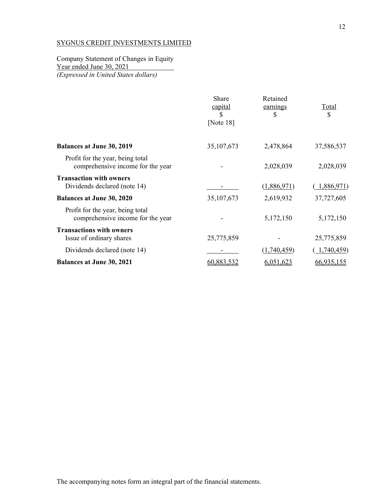Company Statement of Changes in Equity Year ended June 30, 2021 *(Expressed in United States dollars)* 

|                                                                       | Share<br>capital<br>S<br>[Note $18$ ] | Retained<br>earnings<br>S | <u>Total</u><br>\$ |
|-----------------------------------------------------------------------|---------------------------------------|---------------------------|--------------------|
| <b>Balances at June 30, 2019</b>                                      | 35, 107, 673                          | 2,478,864                 | 37,586,537         |
| Profit for the year, being total<br>comprehensive income for the year |                                       | 2,028,039                 | 2,028,039          |
| <b>Transaction with owners</b><br>Dividends declared (note 14)        |                                       | (1,886,971)               | 1,886,971)         |
| <b>Balances at June 30, 2020</b>                                      | 35,107,673                            | 2,619,932                 | 37,727,605         |
| Profit for the year, being total<br>comprehensive income for the year |                                       | 5,172,150                 | 5,172,150          |
| <b>Transactions with owners</b><br>Issue of ordinary shares           | 25,775,859                            |                           | 25,775,859         |
| Dividends declared (note 14)                                          |                                       | (1,740,459)               | 1,740,459          |
| <b>Balances at June 30, 2021</b>                                      | 60,883,532                            | 6,051,623                 | 66,935,155         |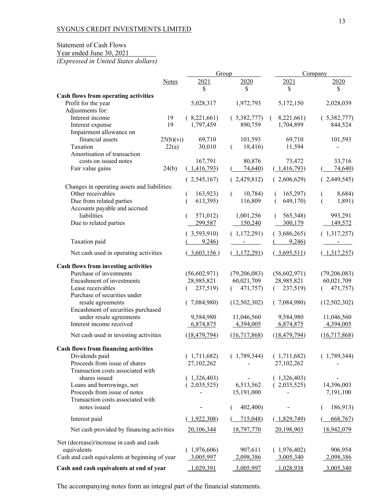# Statement of Cash Flows

#### Year ended June 30, 2021

*(Expressed in United States dollars)*

|                                                |              |                | Group        |                                      | Company       |
|------------------------------------------------|--------------|----------------|--------------|--------------------------------------|---------------|
|                                                | <b>Notes</b> | 2021<br>\$     | 2020         | 2021<br>\$                           | 2020<br>\$    |
| Cash flows from operating activities           |              |                |              |                                      |               |
| Profit for the year                            |              | 5,028,317      | 1,972,793    | 5,172,150                            | 2,028,039     |
| Adjustments for:                               |              |                |              |                                      |               |
| Interest income                                | 19           | (8,221,661)    | (5,382,777)  | 8,221,661)                           | (5,382,777)   |
| Interest expense                               | 19           | 1,797,459      | 890,759      | 1,704,899                            | 844,524       |
| Impairment allowance on                        |              |                |              |                                      |               |
| financial assets                               | 25(b)(vi)    | 69,710         | 101,593      | 69,710                               | 101,593       |
| Taxation                                       | 22(a)        | 30,010         | 18,416)<br>€ | 11,594                               |               |
| Amortisation of transaction                    |              |                |              |                                      |               |
| costs on issued notes                          |              | 167,791        | 80,876       | 73,472                               | 33,716        |
| Fair value gains                               | 24(b)        | (1,416,793)    | 74,640       | (1,416,793)                          | 74,640        |
|                                                |              | (2,545,167)    | (2,429,812)  | (2,606,629)                          | (2,449,545)   |
| Changes in operating assets and liabilities:   |              |                |              |                                      |               |
| Other receivables                              |              | 163,923        | 10,784)      | 165,297                              | 8,684)        |
| Due from related parties                       |              | 613,395)       | 116,809      | 649,170)                             | 1,891)<br>(   |
| Accounts payable and accrued                   |              |                |              |                                      |               |
| liabilities                                    |              | 571,012)       | 1,001,256    | 565,348)                             | 993,291       |
| Due to related parties                         |              | 299,587        | 150,240      | 300,179                              | 149,572       |
|                                                |              | 3,593,910)     | (1,172,291)  | (3,686,265)                          | (1,317,257)   |
| Taxation paid                                  |              | 9,246          |              | 9,246                                |               |
|                                                |              |                |              |                                      |               |
| Net cash used in operating activities          |              | 3,603,156      | (1,172,291)  | $\left( \frac{3,695,511}{2} \right)$ | (1,317,257)   |
| Cash flows from investing activities           |              |                |              |                                      |               |
| Purchase of investments                        |              | (56,602,971)   | (79,206,083) | (56,602,971)                         | (79,206,083)  |
| Encashment of investments                      |              | 28,985,821     | 60,021,709   | 28,985,821                           | 60,021,709    |
| Lease receivables                              |              | 237,519)       | 471,757)     | 237,519)                             | 471,757)      |
| Purchase of securities under                   |              |                |              |                                      |               |
| resale agreements                              |              | (7,084,980)    | (12,502,302) | (7,084,980)                          | (12,502,302)  |
| Encashment of securities purchased             |              |                |              |                                      |               |
| under resale agreements                        |              | 9,584,980      | 11,046,560   | 9,584,980                            | 11,046,560    |
| Interest income received                       |              | 6,874,875      | 4,394,005    | 6,874,875                            | 4,394,005     |
| Net cash used in investing activities          |              | (18, 479, 794) | (16,717,868) | (18, 479, 794)                       | (16,717,868)  |
| <b>Cash flows from financing activities</b>    |              |                |              |                                      |               |
| Dividends paid                                 |              | (1,711,682)    | (1,789,344)  | (1,711,682)                          | (1,789,344)   |
| Proceeds from issue of shares                  |              | 27,102,262     |              | 27,102,262                           |               |
| Transaction costs associated with              |              |                |              |                                      |               |
| shares issued                                  |              | (1,326,403)    |              | (1,326,403)                          |               |
| Loans and borrowings, net                      |              | (2,035,525)    | 6,513,562    | (2,035,525)                          | 14,396,003    |
| Proceeds from issue of notes                   |              |                | 15,191,000   |                                      | 7,191,100     |
| Transaction costs associated with              |              |                |              |                                      |               |
| notes issued                                   |              |                | 402,400)     |                                      | 186,913)<br>( |
| Interest paid                                  |              | 1,922,308      | 715,048      | (1,829,749)                          | 668,767       |
| Net cash provided by financing activities      |              | 20,106,344     | 18,797,770   | 20,198,903                           | 18,942,079    |
| Net (decrease)/increase in cash and cash       |              |                |              |                                      |               |
| equivalents                                    |              | (1,976,606)    | 907,611      | (1,976,402)                          | 906,954       |
| Cash and cash equivalents at beginning of year |              | 3,005,997      | 2,098,386    | 3,005,340                            | 2,098,386     |
| Cash and cash equivalents at end of year       |              | 1,029,391      | 3,005,997    | 1,028,938                            | 3,005,340     |
|                                                |              |                |              |                                      |               |

The accompanying notes form an integral part of the financial statements.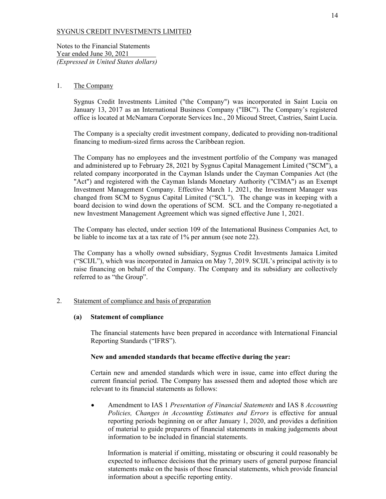Notes to the Financial Statements Year ended June 30, 2021 *(Expressed in United States dollars)* 

## 1. The Company

Sygnus Credit Investments Limited ("the Company") was incorporated in Saint Lucia on January 13, 2017 as an International Business Company ("IBC"). The Company's registered office is located at McNamara Corporate Services Inc., 20 Micoud Street, Castries, Saint Lucia.

The Company is a specialty credit investment company, dedicated to providing non-traditional financing to medium-sized firms across the Caribbean region.

The Company has no employees and the investment portfolio of the Company was managed and administered up to February 28, 2021 by Sygnus Capital Management Limited ("SCM"), a related company incorporated in the Cayman Islands under the Cayman Companies Act (the "Act") and registered with the Cayman Islands Monetary Authority ("CIMA") as an Exempt Investment Management Company. Effective March 1, 2021, the Investment Manager was changed from SCM to Sygnus Capital Limited ("SCL"). The change was in keeping with a board decision to wind down the operations of SCM. SCL and the Company re-negotiated a new Investment Management Agreement which was signed effective June 1, 2021.

The Company has elected, under section 109 of the International Business Companies Act, to be liable to income tax at a tax rate of 1% per annum (see note 22).

The Company has a wholly owned subsidiary, Sygnus Credit Investments Jamaica Limited ("SCIJL"), which was incorporated in Jamaica on May 7, 2019. SCIJL's principal activity is to raise financing on behalf of the Company. The Company and its subsidiary are collectively referred to as "the Group".

## 2. Statement of compliance and basis of preparation

## **(a) Statement of compliance**

The financial statements have been prepared in accordance with International Financial Reporting Standards ("IFRS").

## **New and amended standards that became effective during the year:**

Certain new and amended standards which were in issue, came into effect during the current financial period. The Company has assessed them and adopted those which are relevant to its financial statements as follows:

x Amendment to IAS 1 *Presentation of Financial Statements* and IAS 8 *Accounting Policies, Changes in Accounting Estimates and Errors* is effective for annual reporting periods beginning on or after January 1, 2020, and provides a definition of material to guide preparers of financial statements in making judgements about information to be included in financial statements.

Information is material if omitting, misstating or obscuring it could reasonably be expected to influence decisions that the primary users of general purpose financial statements make on the basis of those financial statements, which provide financial information about a specific reporting entity.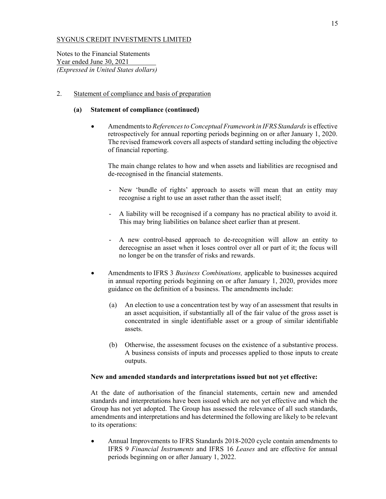Notes to the Financial Statements Year ended June 30, 2021 *(Expressed in United States dollars)* 

## 2. Statement of compliance and basis of preparation

#### **(a) Statement of compliance (continued)**

x Amendments to *References to Conceptual Framework in IFRS Standards* is effective retrospectively for annual reporting periods beginning on or after January 1, 2020. The revised framework covers all aspects of standard setting including the objective of financial reporting.

The main change relates to how and when assets and liabilities are recognised and de-recognised in the financial statements.

- New 'bundle of rights' approach to assets will mean that an entity may recognise a right to use an asset rather than the asset itself;
- A liability will be recognised if a company has no practical ability to avoid it. This may bring liabilities on balance sheet earlier than at present.
- A new control-based approach to de-recognition will allow an entity to derecognise an asset when it loses control over all or part of it; the focus will no longer be on the transfer of risks and rewards.
- Amendments to IFRS 3 *Business Combinations*, applicable to businesses acquired in annual reporting periods beginning on or after January 1, 2020, provides more guidance on the definition of a business. The amendments include:
	- (a) An election to use a concentration test by way of an assessment that results in an asset acquisition, if substantially all of the fair value of the gross asset is concentrated in single identifiable asset or a group of similar identifiable assets.
	- (b) Otherwise, the assessment focuses on the existence of a substantive process. A business consists of inputs and processes applied to those inputs to create outputs.

#### **New and amended standards and interpretations issued but not yet effective:**

At the date of authorisation of the financial statements, certain new and amended standards and interpretations have been issued which are not yet effective and which the Group has not yet adopted. The Group has assessed the relevance of all such standards, amendments and interpretations and has determined the following are likely to be relevant to its operations:

Annual Improvements to IFRS Standards 2018-2020 cycle contain amendments to IFRS 9 *Financial Instruments* and IFRS 16 *Leases* and are effective for annual periods beginning on or after January 1, 2022.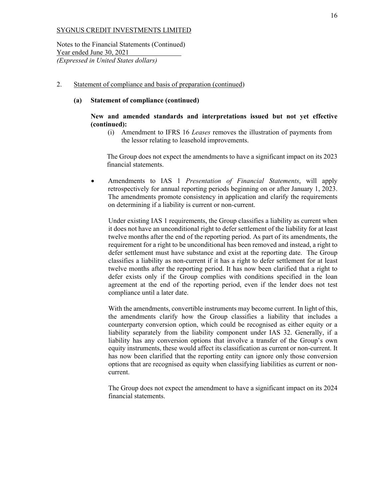Notes to the Financial Statements (Continued) Year ended June 30, 2021 *(Expressed in United States dollars)* 

## 2. Statement of compliance and basis of preparation (continued)

## **(a) Statement of compliance (continued)**

## **New and amended standards and interpretations issued but not yet effective (continued):**

(i) Amendment to IFRS 16 *Leases* removes the illustration of payments from the lessor relating to leasehold improvements.

The Group does not expect the amendments to have a significant impact on its 2023 financial statements.

x Amendments to IAS 1 *Presentation of Financial Statements*, will apply retrospectively for annual reporting periods beginning on or after January 1, 2023. The amendments promote consistency in application and clarify the requirements on determining if a liability is current or non-current.

Under existing IAS 1 requirements, the Group classifies a liability as current when it does not have an unconditional right to defer settlement of the liability for at least twelve months after the end of the reporting period. As part of its amendments, the requirement for a right to be unconditional has been removed and instead, a right to defer settlement must have substance and exist at the reporting date. The Group classifies a liability as non-current if it has a right to defer settlement for at least twelve months after the reporting period. It has now been clarified that a right to defer exists only if the Group complies with conditions specified in the loan agreement at the end of the reporting period, even if the lender does not test compliance until a later date.

With the amendments, convertible instruments may become current. In light of this, the amendments clarify how the Group classifies a liability that includes a counterparty conversion option, which could be recognised as either equity or a liability separately from the liability component under IAS 32. Generally, if a liability has any conversion options that involve a transfer of the Group's own equity instruments, these would affect its classification as current or non-current. It has now been clarified that the reporting entity can ignore only those conversion options that are recognised as equity when classifying liabilities as current or noncurrent.

The Group does not expect the amendment to have a significant impact on its 2024 financial statements.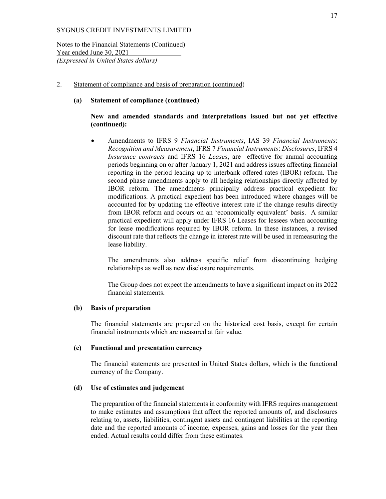Notes to the Financial Statements (Continued) Year ended June 30, 2021 *(Expressed in United States dollars)* 

## 2. Statement of compliance and basis of preparation (continued)

## **(a) Statement of compliance (continued)**

## **New and amended standards and interpretations issued but not yet effective (continued):**

x Amendments to IFRS 9 *Financial Instruments*, IAS 39 *Financial Instruments*: *Recognition and Measurement*, IFRS 7 *Financial Instruments*: *Disclosures*, IFRS 4 *Insurance contracts* and IFRS 16 *Leases*, are effective for annual accounting periods beginning on or after January 1, 2021 and address issues affecting financial reporting in the period leading up to interbank offered rates (IBOR) reform. The second phase amendments apply to all hedging relationships directly affected by IBOR reform. The amendments principally address practical expedient for modifications. A practical expedient has been introduced where changes will be accounted for by updating the effective interest rate if the change results directly from IBOR reform and occurs on an 'economically equivalent' basis. A similar practical expedient will apply under IFRS 16 Leases for lessees when accounting for lease modifications required by IBOR reform. In these instances, a revised discount rate that reflects the change in interest rate will be used in remeasuring the lease liability.

The amendments also address specific relief from discontinuing hedging relationships as well as new disclosure requirements.

The Group does not expect the amendments to have a significant impact on its 2022 financial statements.

#### **(b) Basis of preparation**

The financial statements are prepared on the historical cost basis, except for certain financial instruments which are measured at fair value.

#### **(c) Functional and presentation currency**

The financial statements are presented in United States dollars, which is the functional currency of the Company.

#### **(d) Use of estimates and judgement**

The preparation of the financial statements in conformity with IFRS requires management to make estimates and assumptions that affect the reported amounts of, and disclosures relating to, assets, liabilities, contingent assets and contingent liabilities at the reporting date and the reported amounts of income, expenses, gains and losses for the year then ended. Actual results could differ from these estimates.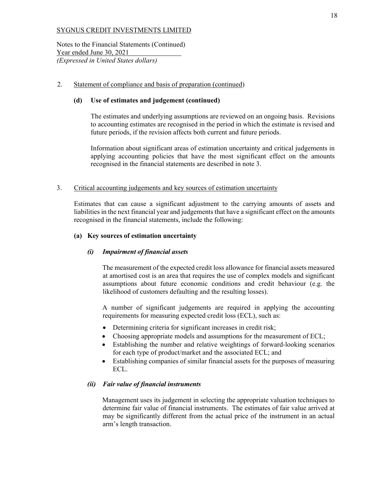Notes to the Financial Statements (Continued) Year ended June 30, 2021 *(Expressed in United States dollars)* 

## 2. Statement of compliance and basis of preparation (continued)

## **(d) Use of estimates and judgement (continued)**

The estimates and underlying assumptions are reviewed on an ongoing basis. Revisions to accounting estimates are recognised in the period in which the estimate is revised and future periods, if the revision affects both current and future periods.

Information about significant areas of estimation uncertainty and critical judgements in applying accounting policies that have the most significant effect on the amounts recognised in the financial statements are described in note 3.

#### 3. Critical accounting judgements and key sources of estimation uncertainty

Estimates that can cause a significant adjustment to the carrying amounts of assets and liabilities in the next financial year and judgements that have a significant effect on the amounts recognised in the financial statements, include the following:

## **(a) Key sources of estimation uncertainty**

## *(i) Impairment of financial assets*

The measurement of the expected credit loss allowance for financial assets measured at amortised cost is an area that requires the use of complex models and significant assumptions about future economic conditions and credit behaviour (e.g. the likelihood of customers defaulting and the resulting losses).

A number of significant judgements are required in applying the accounting requirements for measuring expected credit loss (ECL), such as:

- Determining criteria for significant increases in credit risk;
- Choosing appropriate models and assumptions for the measurement of ECL;
- Establishing the number and relative weightings of forward-looking scenarios for each type of product/market and the associated ECL; and
- Establishing companies of similar financial assets for the purposes of measuring ECL.

#### *(ii) Fair value of financial instruments*

Management uses its judgement in selecting the appropriate valuation techniques to determine fair value of financial instruments. The estimates of fair value arrived at may be significantly different from the actual price of the instrument in an actual arm's length transaction.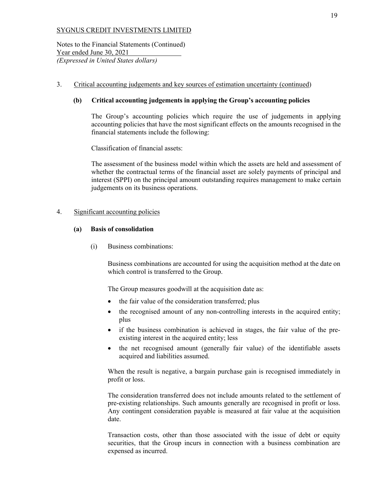Notes to the Financial Statements (Continued) Year ended June 30, 2021 *(Expressed in United States dollars)* 

## 3. Critical accounting judgements and key sources of estimation uncertainty (continued)

## **(b) Critical accounting judgements in applying the Group's accounting policies**

The Group's accounting policies which require the use of judgements in applying accounting policies that have the most significant effects on the amounts recognised in the financial statements include the following:

Classification of financial assets:

The assessment of the business model within which the assets are held and assessment of whether the contractual terms of the financial asset are solely payments of principal and interest (SPPI) on the principal amount outstanding requires management to make certain judgements on its business operations.

## 4. Significant accounting policies

## **(a) Basis of consolidation**

(i) Business combinations:

Business combinations are accounted for using the acquisition method at the date on which control is transferred to the Group.

The Group measures goodwill at the acquisition date as:

- the fair value of the consideration transferred; plus
- the recognised amount of any non-controlling interests in the acquired entity; plus
- if the business combination is achieved in stages, the fair value of the preexisting interest in the acquired entity; less
- the net recognised amount (generally fair value) of the identifiable assets acquired and liabilities assumed.

When the result is negative, a bargain purchase gain is recognised immediately in profit or loss.

The consideration transferred does not include amounts related to the settlement of pre-existing relationships. Such amounts generally are recognised in profit or loss. Any contingent consideration payable is measured at fair value at the acquisition date.

Transaction costs, other than those associated with the issue of debt or equity securities, that the Group incurs in connection with a business combination are expensed as incurred.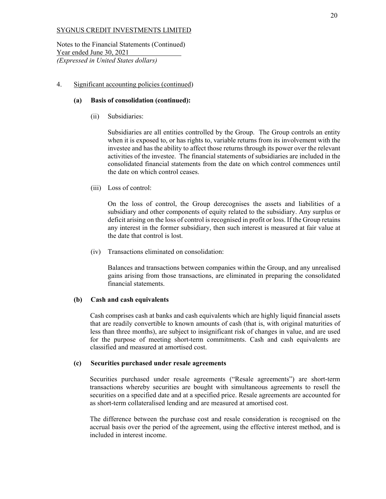Notes to the Financial Statements (Continued) Year ended June 30, 2021 *(Expressed in United States dollars)* 

## 4. Significant accounting policies (continued)

## **(a) Basis of consolidation (continued):**

(ii) Subsidiaries:

Subsidiaries are all entities controlled by the Group. The Group controls an entity when it is exposed to, or has rights to, variable returns from its involvement with the investee and has the ability to affect those returns through its power over the relevant activities of the investee. The financial statements of subsidiaries are included in the consolidated financial statements from the date on which control commences until the date on which control ceases.

(iii) Loss of control:

On the loss of control, the Group derecognises the assets and liabilities of a subsidiary and other components of equity related to the subsidiary. Any surplus or deficit arising on the loss of control is recognised in profit or loss. If the Group retains any interest in the former subsidiary, then such interest is measured at fair value at the date that control is lost.

(iv) Transactions eliminated on consolidation:

 Balances and transactions between companies within the Group, and any unrealised gains arising from those transactions, are eliminated in preparing the consolidated financial statements.

## **(b) Cash and cash equivalents**

Cash comprises cash at banks and cash equivalents which are highly liquid financial assets that are readily convertible to known amounts of cash (that is, with original maturities of less than three months), are subject to insignificant risk of changes in value, and are used for the purpose of meeting short-term commitments. Cash and cash equivalents are classified and measured at amortised cost.

#### **(c) Securities purchased under resale agreements**

Securities purchased under resale agreements ("Resale agreements") are short-term transactions whereby securities are bought with simultaneous agreements to resell the securities on a specified date and at a specified price. Resale agreements are accounted for as short-term collateralised lending and are measured at amortised cost.

The difference between the purchase cost and resale consideration is recognised on the accrual basis over the period of the agreement, using the effective interest method, and is included in interest income.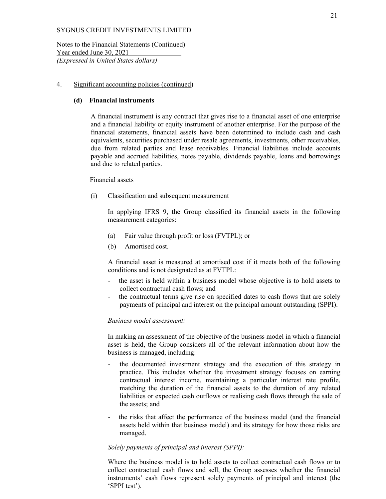Notes to the Financial Statements (Continued) Year ended June 30, 2021 *(Expressed in United States dollars)* 

## 4. Significant accounting policies (continued)

## **(d) Financial instruments**

A financial instrument is any contract that gives rise to a financial asset of one enterprise and a financial liability or equity instrument of another enterprise. For the purpose of the financial statements, financial assets have been determined to include cash and cash equivalents, securities purchased under resale agreements, investments, other receivables, due from related parties and lease receivables. Financial liabilities include accounts payable and accrued liabilities, notes payable, dividends payable, loans and borrowings and due to related parties.

#### Financial assets

(i) Classification and subsequent measurement

In applying IFRS 9, the Group classified its financial assets in the following measurement categories:

- (a) Fair value through profit or loss (FVTPL); or
- (b) Amortised cost.

A financial asset is measured at amortised cost if it meets both of the following conditions and is not designated as at FVTPL:

- the asset is held within a business model whose objective is to hold assets to collect contractual cash flows; and
- the contractual terms give rise on specified dates to cash flows that are solely payments of principal and interest on the principal amount outstanding (SPPI).

#### *Business model assessment:*

 In making an assessment of the objective of the business model in which a financial asset is held, the Group considers all of the relevant information about how the business is managed, including:

- the documented investment strategy and the execution of this strategy in practice. This includes whether the investment strategy focuses on earning contractual interest income, maintaining a particular interest rate profile, matching the duration of the financial assets to the duration of any related liabilities or expected cash outflows or realising cash flows through the sale of the assets; and
- the risks that affect the performance of the business model (and the financial assets held within that business model) and its strategy for how those risks are managed.

## *Solely payments of principal and interest (SPPI):*

 Where the business model is to hold assets to collect contractual cash flows or to collect contractual cash flows and sell, the Group assesses whether the financial instruments' cash flows represent solely payments of principal and interest (the 'SPPI test').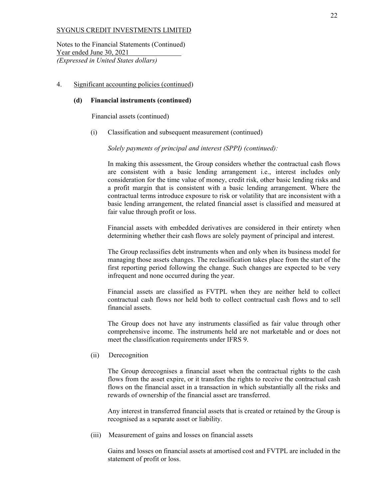Notes to the Financial Statements (Continued) Year ended June 30, 2021 *(Expressed in United States dollars)* 

## 4. Significant accounting policies (continued)

#### **(d) Financial instruments (continued)**

Financial assets (continued)

(i) Classification and subsequent measurement (continued)

*Solely payments of principal and interest (SPPI) (continued):* 

In making this assessment, the Group considers whether the contractual cash flows are consistent with a basic lending arrangement i.e., interest includes only consideration for the time value of money, credit risk, other basic lending risks and a profit margin that is consistent with a basic lending arrangement. Where the contractual terms introduce exposure to risk or volatility that are inconsistent with a basic lending arrangement, the related financial asset is classified and measured at fair value through profit or loss.

Financial assets with embedded derivatives are considered in their entirety when determining whether their cash flows are solely payment of principal and interest.

The Group reclassifies debt instruments when and only when its business model for managing those assets changes. The reclassification takes place from the start of the first reporting period following the change. Such changes are expected to be very infrequent and none occurred during the year.

Financial assets are classified as FVTPL when they are neither held to collect contractual cash flows nor held both to collect contractual cash flows and to sell financial assets.

The Group does not have any instruments classified as fair value through other comprehensive income. The instruments held are not marketable and or does not meet the classification requirements under IFRS 9.

(ii) Derecognition

The Group derecognises a financial asset when the contractual rights to the cash flows from the asset expire, or it transfers the rights to receive the contractual cash flows on the financial asset in a transaction in which substantially all the risks and rewards of ownership of the financial asset are transferred.

Any interest in transferred financial assets that is created or retained by the Group is recognised as a separate asset or liability.

(iii) Measurement of gains and losses on financial assets

Gains and losses on financial assets at amortised cost and FVTPL are included in the statement of profit or loss.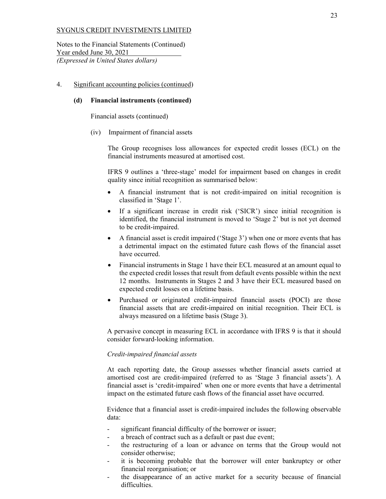Notes to the Financial Statements (Continued) Year ended June 30, 2021 *(Expressed in United States dollars)* 

## 4. Significant accounting policies (continued)

## **(d) Financial instruments (continued)**

Financial assets (continued)

(iv) Impairment of financial assets

The Group recognises loss allowances for expected credit losses (ECL) on the financial instruments measured at amortised cost.

IFRS 9 outlines a 'three-stage' model for impairment based on changes in credit quality since initial recognition as summarised below:

- x A financial instrument that is not credit-impaired on initial recognition is classified in 'Stage 1'.
- If a significant increase in credit risk ('SICR') since initial recognition is identified, the financial instrument is moved to 'Stage 2' but is not yet deemed to be credit-impaired.
- A financial asset is credit impaired ('Stage 3') when one or more events that has a detrimental impact on the estimated future cash flows of the financial asset have occurred.
- Financial instruments in Stage 1 have their ECL measured at an amount equal to the expected credit losses that result from default events possible within the next 12 months. Instruments in Stages 2 and 3 have their ECL measured based on expected credit losses on a lifetime basis.
- Purchased or originated credit-impaired financial assets (POCI) are those financial assets that are credit-impaired on initial recognition. Their ECL is always measured on a lifetime basis (Stage 3).

A pervasive concept in measuring ECL in accordance with IFRS 9 is that it should consider forward-looking information.

#### *Credit-impaired financial assets*

At each reporting date, the Group assesses whether financial assets carried at amortised cost are credit-impaired (referred to as 'Stage 3 financial assets'). A financial asset is 'credit-impaired' when one or more events that have a detrimental impact on the estimated future cash flows of the financial asset have occurred.

Evidence that a financial asset is credit-impaired includes the following observable data:

- significant financial difficulty of the borrower or issuer;
- a breach of contract such as a default or past due event;
- the restructuring of a loan or advance on terms that the Group would not consider otherwise;
- it is becoming probable that the borrower will enter bankruptcy or other financial reorganisation; or
- the disappearance of an active market for a security because of financial difficulties.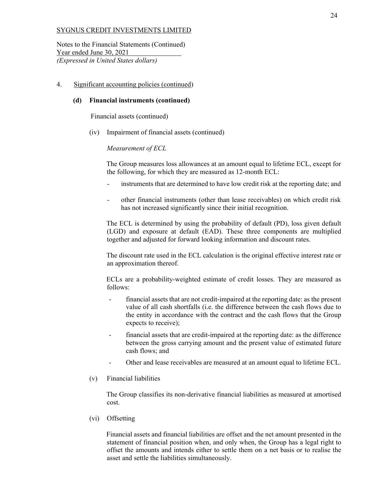Notes to the Financial Statements (Continued) Year ended June 30, 2021 *(Expressed in United States dollars)* 

## 4. Significant accounting policies (continued)

## **(d) Financial instruments (continued)**

Financial assets (continued)

(iv) Impairment of financial assets (continued)

## *Measurement of ECL*

The Group measures loss allowances at an amount equal to lifetime ECL, except for the following, for which they are measured as 12-month ECL:

- instruments that are determined to have low credit risk at the reporting date; and
- other financial instruments (other than lease receivables) on which credit risk has not increased significantly since their initial recognition.

The ECL is determined by using the probability of default (PD), loss given default (LGD) and exposure at default (EAD). These three components are multiplied together and adjusted for forward looking information and discount rates.

The discount rate used in the ECL calculation is the original effective interest rate or an approximation thereof.

ECLs are a probability-weighted estimate of credit losses. They are measured as follows:

- financial assets that are not credit-impaired at the reporting date: as the present value of all cash shortfalls (i.e. the difference between the cash flows due to the entity in accordance with the contract and the cash flows that the Group expects to receive);
- financial assets that are credit-impaired at the reporting date: as the difference between the gross carrying amount and the present value of estimated future cash flows; and
- Other and lease receivables are measured at an amount equal to lifetime ECL.
- (v) Financial liabilities

The Group classifies its non-derivative financial liabilities as measured at amortised cost.

(vi) Offsetting

Financial assets and financial liabilities are offset and the net amount presented in the statement of financial position when, and only when, the Group has a legal right to offset the amounts and intends either to settle them on a net basis or to realise the asset and settle the liabilities simultaneously.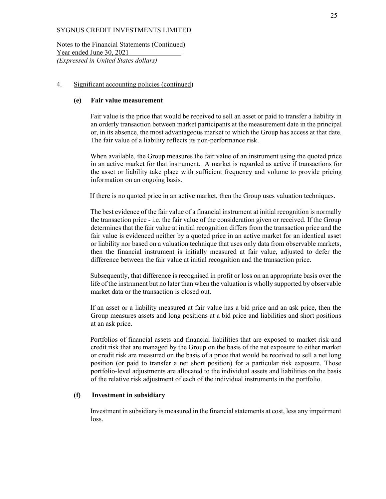Notes to the Financial Statements (Continued) Year ended June 30, 2021 *(Expressed in United States dollars)* 

## 4. Significant accounting policies (continued)

## **(e) Fair value measurement**

Fair value is the price that would be received to sell an asset or paid to transfer a liability in an orderly transaction between market participants at the measurement date in the principal or, in its absence, the most advantageous market to which the Group has access at that date. The fair value of a liability reflects its non-performance risk.

When available, the Group measures the fair value of an instrument using the quoted price in an active market for that instrument. A market is regarded as active if transactions for the asset or liability take place with sufficient frequency and volume to provide pricing information on an ongoing basis.

If there is no quoted price in an active market, then the Group uses valuation techniques.

The best evidence of the fair value of a financial instrument at initial recognition is normally the transaction price - i.e. the fair value of the consideration given or received. If the Group determines that the fair value at initial recognition differs from the transaction price and the fair value is evidenced neither by a quoted price in an active market for an identical asset or liability nor based on a valuation technique that uses only data from observable markets, then the financial instrument is initially measured at fair value, adjusted to defer the difference between the fair value at initial recognition and the transaction price.

Subsequently, that difference is recognised in profit or loss on an appropriate basis over the life of the instrument but no later than when the valuation is wholly supported by observable market data or the transaction is closed out.

If an asset or a liability measured at fair value has a bid price and an ask price, then the Group measures assets and long positions at a bid price and liabilities and short positions at an ask price.

Portfolios of financial assets and financial liabilities that are exposed to market risk and credit risk that are managed by the Group on the basis of the net exposure to either market or credit risk are measured on the basis of a price that would be received to sell a net long position (or paid to transfer a net short position) for a particular risk exposure. Those portfolio-level adjustments are allocated to the individual assets and liabilities on the basis of the relative risk adjustment of each of the individual instruments in the portfolio.

## **(f) Investment in subsidiary**

Investment in subsidiary is measured in the financial statements at cost, less any impairment loss.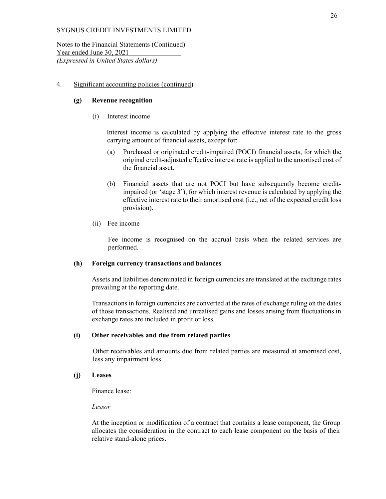Notes to the Financial Statements (Continued) Year ended June 30, 2021 *(Expressed in United States dollars)* 

## 4. Significant accounting policies (continued)

## **(g) Revenue recognition**

(i) Interest income

Interest income is calculated by applying the effective interest rate to the gross carrying amount of financial assets, except for:

- (a) Purchased or originated credit-impaired (POCI) financial assets, for which the original credit-adjusted effective interest rate is applied to the amortised cost of the financial asset.
- (b) Financial assets that are not POCI but have subsequently become creditimpaired (or 'stage 3'), for which interest revenue is calculated by applying the effective interest rate to their amortised cost (i.e., net of the expected credit loss provision).
- (ii) Fee income

Fee income is recognised on the accrual basis when the related services are performed.

#### **(h) Foreign currency transactions and balances**

Assets and liabilities denominated in foreign currencies are translated at the exchange rates prevailing at the reporting date.

Transactions in foreign currencies are converted at the rates of exchange ruling on the dates of those transactions. Realised and unrealised gains and losses arising from fluctuations in exchange rates are included in profit or loss.

#### **(i) Other receivables and due from related parties**

Other receivables and amounts due from related parties are measured at amortised cost, less any impairment loss.

#### **(j) Leases**

Finance lease:

*Lessor* 

At the inception or modification of a contract that contains a lease component, the Group allocates the consideration in the contract to each lease component on the basis of their relative stand-alone prices.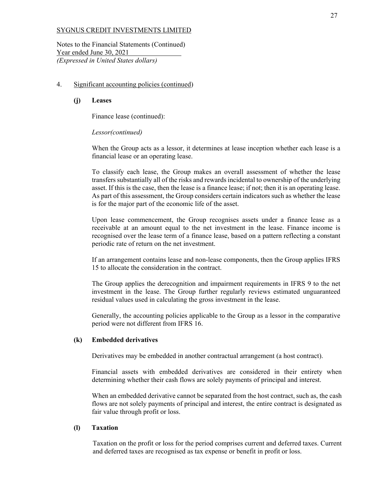Notes to the Financial Statements (Continued) Year ended June 30, 2021 *(Expressed in United States dollars)* 

## 4. Significant accounting policies (continued)

#### **(j) Leases**

Finance lease (continued):

*Lessor(continued)* 

When the Group acts as a lessor, it determines at lease inception whether each lease is a financial lease or an operating lease.

To classify each lease, the Group makes an overall assessment of whether the lease transfers substantially all of the risks and rewards incidental to ownership of the underlying asset. If this is the case, then the lease is a finance lease; if not; then it is an operating lease. As part of this assessment, the Group considers certain indicators such as whether the lease is for the major part of the economic life of the asset.

Upon lease commencement, the Group recognises assets under a finance lease as a receivable at an amount equal to the net investment in the lease. Finance income is recognised over the lease term of a finance lease, based on a pattern reflecting a constant periodic rate of return on the net investment.

If an arrangement contains lease and non-lease components, then the Group applies IFRS 15 to allocate the consideration in the contract.

The Group applies the derecognition and impairment requirements in IFRS 9 to the net investment in the lease. The Group further regularly reviews estimated unguaranteed residual values used in calculating the gross investment in the lease.

Generally, the accounting policies applicable to the Group as a lessor in the comparative period were not different from IFRS 16.

## **(k) Embedded derivatives**

Derivatives may be embedded in another contractual arrangement (a host contract).

Financial assets with embedded derivatives are considered in their entirety when determining whether their cash flows are solely payments of principal and interest.

When an embedded derivative cannot be separated from the host contract, such as, the cash flows are not solely payments of principal and interest, the entire contract is designated as fair value through profit or loss.

#### **(l) Taxation**

Taxation on the profit or loss for the period comprises current and deferred taxes. Current and deferred taxes are recognised as tax expense or benefit in profit or loss.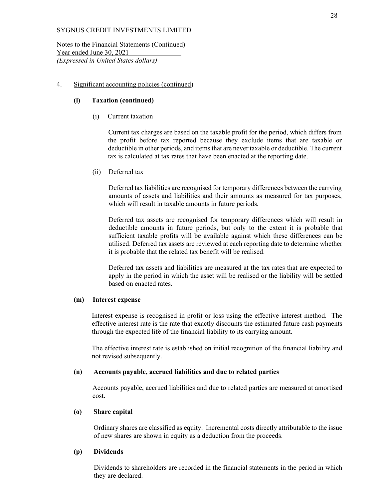Notes to the Financial Statements (Continued) Year ended June 30, 2021 *(Expressed in United States dollars)* 

## 4. Significant accounting policies (continued)

## **(l) Taxation (continued)**

(i) Current taxation

Current tax charges are based on the taxable profit for the period, which differs from the profit before tax reported because they exclude items that are taxable or deductible in other periods, and items that are never taxable or deductible. The current tax is calculated at tax rates that have been enacted at the reporting date.

(ii) Deferred tax

Deferred tax liabilities are recognised for temporary differences between the carrying amounts of assets and liabilities and their amounts as measured for tax purposes, which will result in taxable amounts in future periods.

Deferred tax assets are recognised for temporary differences which will result in deductible amounts in future periods, but only to the extent it is probable that sufficient taxable profits will be available against which these differences can be utilised. Deferred tax assets are reviewed at each reporting date to determine whether it is probable that the related tax benefit will be realised.

Deferred tax assets and liabilities are measured at the tax rates that are expected to apply in the period in which the asset will be realised or the liability will be settled based on enacted rates.

#### **(m) Interest expense**

Interest expense is recognised in profit or loss using the effective interest method. The effective interest rate is the rate that exactly discounts the estimated future cash payments through the expected life of the financial liability to its carrying amount.

The effective interest rate is established on initial recognition of the financial liability and not revised subsequently.

#### **(n) Accounts payable, accrued liabilities and due to related parties**

Accounts payable, accrued liabilities and due to related parties are measured at amortised cost.

#### **(o) Share capital**

Ordinary shares are classified as equity. Incremental costs directly attributable to the issue of new shares are shown in equity as a deduction from the proceeds.

#### **(p) Dividends**

Dividends to shareholders are recorded in the financial statements in the period in which they are declared.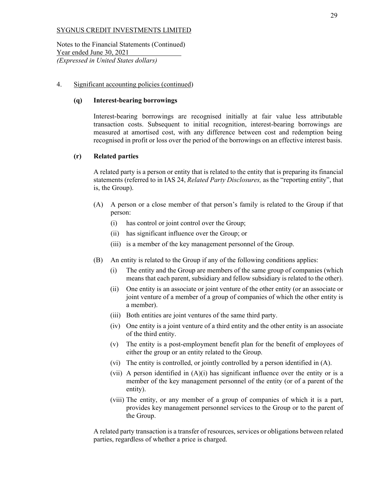Notes to the Financial Statements (Continued) Year ended June 30, 2021 *(Expressed in United States dollars)* 

#### 4. Significant accounting policies (continued)

## **(q) Interest-bearing borrowings**

Interest-bearing borrowings are recognised initially at fair value less attributable transaction costs. Subsequent to initial recognition, interest-bearing borrowings are measured at amortised cost, with any difference between cost and redemption being recognised in profit or loss over the period of the borrowings on an effective interest basis.

## **(r) Related parties**

A related party is a person or entity that is related to the entity that is preparing its financial statements (referred to in IAS 24, *Related Party Disclosures,* as the "reporting entity", that is, the Group).

- (A) A person or a close member of that person's family is related to the Group if that person:
	- (i) has control or joint control over the Group;
	- (ii) has significant influence over the Group; or
	- (iii) is a member of the key management personnel of the Group.
- (B) An entity is related to the Group if any of the following conditions applies:
	- (i) The entity and the Group are members of the same group of companies (which means that each parent, subsidiary and fellow subsidiary is related to the other).
	- (ii) One entity is an associate or joint venture of the other entity (or an associate or joint venture of a member of a group of companies of which the other entity is a member).
	- (iii) Both entities are joint ventures of the same third party.
	- (iv) One entity is a joint venture of a third entity and the other entity is an associate of the third entity.
	- (v) The entity is a post-employment benefit plan for the benefit of employees of either the group or an entity related to the Group.
	- (vi) The entity is controlled, or jointly controlled by a person identified in (A).
	- (vii) A person identified in  $(A)(i)$  has significant influence over the entity or is a member of the key management personnel of the entity (or of a parent of the entity).
	- (viii) The entity, or any member of a group of companies of which it is a part, provides key management personnel services to the Group or to the parent of the Group.

A related party transaction is a transfer of resources, services or obligations between related parties, regardless of whether a price is charged.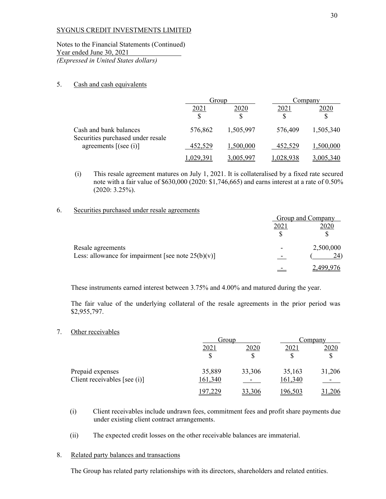Notes to the Financial Statements (Continued) Year ended June 30, 2021 *(Expressed in United States dollars)* 

#### 5. Cash and cash equivalents

|                                                             | Group   |           |          | Company   |
|-------------------------------------------------------------|---------|-----------|----------|-----------|
|                                                             | 2021    | 2020      | 2021     | 2020      |
|                                                             |         | S         |          | \$        |
| Cash and bank balances<br>Securities purchased under resale | 576,862 | 1,505,997 | 576,409  | 1,505,340 |
| agreements $[$ (see (i)]                                    | 452,529 | 1,500,000 | 452,529  | 1,500,000 |
|                                                             | 179 391 | MS 99     | .028.938 | 3.005.340 |

(i) This resale agreement matures on July 1, 2021. It is collateralised by a fixed rate secured note with a fair value of \$630,000 (2020: \$1,746,665) and earns interest at a rate of 0.50% (2020: 3.25%).

#### 6. Securities purchased under resale agreements

|                                                       |                          | Group and Company |
|-------------------------------------------------------|--------------------------|-------------------|
|                                                       | 202                      |                   |
|                                                       |                          |                   |
| Resale agreements                                     | $\overline{\phantom{0}}$ | 2,500,000         |
| Less: allowance for impairment [see note $25(b)(v)$ ] |                          |                   |
|                                                       |                          |                   |

These instruments earned interest between 3.75% and 4.00% and matured during the year.

The fair value of the underlying collateral of the resale agreements in the prior period was \$2,955,797.

7. Other receivables

|                              | Group   |        |         | Company |  |
|------------------------------|---------|--------|---------|---------|--|
|                              | 2021    | 2020   | 2021    | 2020    |  |
|                              |         |        |         |         |  |
| Prepaid expenses             | 35,889  | 33,306 | 35,163  | 31,206  |  |
| Client receivables [see (i)] | 161,340 |        | 161,340 |         |  |
|                              |         |        | .96,503 |         |  |

- (i) Client receivables include undrawn fees, commitment fees and profit share payments due under existing client contract arrangements.
- (ii) The expected credit losses on the other receivable balances are immaterial.

## 8. Related party balances and transactions

The Group has related party relationships with its directors, shareholders and related entities.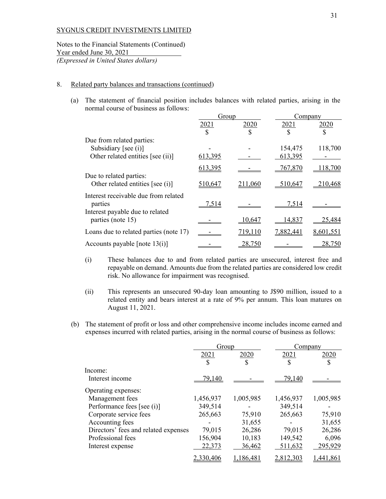Notes to the Financial Statements (Continued) Year ended June 30, 2021 *(Expressed in United States dollars)* 

#### 8. Related party balances and transactions (continued)

(a) The statement of financial position includes balances with related parties, arising in the normal course of business as follows:

|                                                             | Group         |         |           | Company   |  |
|-------------------------------------------------------------|---------------|---------|-----------|-----------|--|
|                                                             | 2021          | 2020    | 2021      | 2020      |  |
|                                                             | <sup>\$</sup> | S       | \$        | \$        |  |
| Due from related parties:                                   |               |         |           |           |  |
| Subsidiary [see $(i)$ ]                                     |               |         | 154,475   | 118,700   |  |
| Other related entities [see (ii)]                           | 613,395       |         | 613,395   |           |  |
|                                                             | 613,395       |         | 767,870   | 18,700    |  |
| Due to related parties:<br>Other related entities [see (i)] | 510,647       | 211,060 | 510,647   | 210,468   |  |
| Interest receivable due from related<br>parties             | 7.514         |         | 7,514     |           |  |
| Interest payable due to related<br>parties (note 15)        |               | 10,647  | 14,837    | 25,484    |  |
| Loans due to related parties (note 17)                      |               | 719,110 | 7,882,441 | 8,601,551 |  |
| Accounts payable [note $13(i)$ ]                            |               | 28,750  |           | 28,750    |  |

- (i) These balances due to and from related parties are unsecured, interest free and repayable on demand. Amounts due from the related parties are considered low credit risk. No allowance for impairment was recognised.
- (ii) This represents an unsecured 90-day loan amounting to J\$90 million, issued to a related entity and bears interest at a rate of 9% per annum. This loan matures on August 11, 2021.
- (b) The statement of profit or loss and other comprehensive income includes income earned and expenses incurred with related parties, arising in the normal course of business as follows:

|                                      | Group     |           |           | Company   |  |
|--------------------------------------|-----------|-----------|-----------|-----------|--|
|                                      | 2021      | 2020      | 2021      | 2020      |  |
|                                      | S         | \$        | S         | S         |  |
| Income:                              |           |           |           |           |  |
| Interest income                      | 79,140    |           | 79,140    |           |  |
| Operating expenses:                  |           |           |           |           |  |
| Management fees                      | 1,456,937 | 1,005,985 | 1,456,937 | 1,005,985 |  |
| Performance fees [see (i)]           | 349,514   |           | 349,514   |           |  |
| Corporate service fees               | 265,663   | 75,910    | 265,663   | 75,910    |  |
| Accounting fees                      |           | 31,655    |           | 31,655    |  |
| Directors' fees and related expenses | 79,015    | 26,286    | 79,015    | 26,286    |  |
| Professional fees                    | 156,904   | 10,183    | 149,542   | 6,096     |  |
| Interest expense                     | 22,373    | 36,462    | 511,632   | 295,929   |  |
|                                      | 2,330,406 | 1,186,481 | 2,812,303 | ,441,861  |  |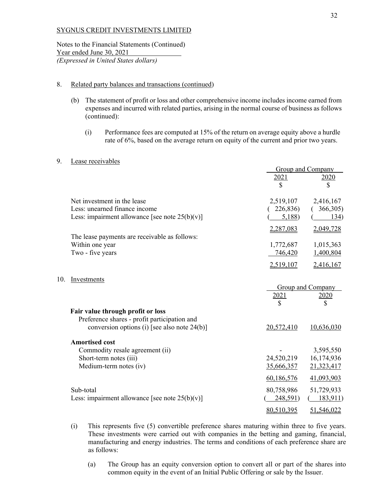Notes to the Financial Statements (Continued) Year ended June 30, 2021 *(Expressed in United States dollars)* 

#### 8. Related party balances and transactions (continued)

- (b) The statement of profit or loss and other comprehensive income includes income earned from expenses and incurred with related parties, arising in the normal course of business as follows (continued):
	- (i) Performance fees are computed at 15% of the return on average equity above a hurdle rate of 6%, based on the average return on equity of the current and prior two years.

#### 9. Lease receivables

|     |                                                   |            | Group and Company |
|-----|---------------------------------------------------|------------|-------------------|
|     |                                                   | 2021       | 2020              |
|     |                                                   | \$         | \$                |
|     | Net investment in the lease                       | 2,519,107  | 2,416,167         |
|     | Less: unearned finance income                     | 226,836)   | 366,305)          |
|     | Less: impairment allowance [see note $25(b)(v)$ ] | 5,188      | 134)              |
|     |                                                   | 2,287,083  | 2,049,728         |
|     | The lease payments are receivable as follows:     |            |                   |
|     | Within one year                                   | 1,772,687  | 1,015,363         |
|     | Two - five years                                  | 746,420    | 1,400,804         |
|     |                                                   | 2,519,107  | 2,416,167         |
| 10. | Investments                                       |            |                   |
|     |                                                   |            | Group and Company |
|     |                                                   | 2021       | 2020              |
|     |                                                   |            | \$                |
|     | Fair value through profit or loss                 |            |                   |
|     | Preference shares - profit participation and      |            |                   |
|     | conversion options (i) [see also note $24(b)$ ]   | 20,572,410 | 10,636,030        |
|     | <b>Amortised cost</b>                             |            |                   |
|     | Commodity resale agreement (ii)                   |            | 3,595,550         |
|     | Short-term notes (iii)                            | 24,520,219 | 16,174,936        |
|     | Medium-term notes (iv)                            | 35,666,357 | 21,323,417        |
|     |                                                   | 60,186,576 | 41,093,903        |
|     | Sub-total                                         | 80,758,986 | 51,729,933        |
|     | Less: impairment allowance [see note $25(b)(v)$ ] | 248,591)   | 183,911)          |
|     |                                                   | 80,510,395 | 51,546,022        |

- (i) This represents five (5) convertible preference shares maturing within three to five years. These investments were carried out with companies in the betting and gaming, financial, manufacturing and energy industries. The terms and conditions of each preference share are as follows:
	- (a) The Group has an equity conversion option to convert all or part of the shares into common equity in the event of an Initial Public Offering or sale by the Issuer.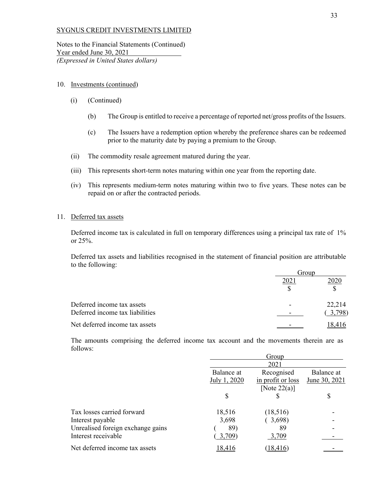Notes to the Financial Statements (Continued) Year ended June 30, 2021 *(Expressed in United States dollars)* 

#### 10. Investments (continued)

- (i) (Continued)
	- (b) The Group is entitled to receive a percentage of reported net/gross profits of the Issuers.
	- (c) The Issuers have a redemption option whereby the preference shares can be redeemed prior to the maturity date by paying a premium to the Group.
- (ii) The commodity resale agreement matured during the year.
- (iii) This represents short-term notes maturing within one year from the reporting date.
- (iv) This represents medium-term notes maturing within two to five years. These notes can be repaid on or after the contracted periods.

## 11. Deferred tax assets

Deferred income tax is calculated in full on temporary differences using a principal tax rate of 1% or 25%.

Deferred tax assets and liabilities recognised in the statement of financial position are attributable to the following:

|                                 | Group                    |        |  |
|---------------------------------|--------------------------|--------|--|
|                                 | ንበን                      |        |  |
| Deferred income tax assets      | $\overline{\phantom{0}}$ | 22,214 |  |
| Deferred income tax liabilities |                          | 3,798  |  |
| Net deferred income tax assets  |                          |        |  |

The amounts comprising the deferred income tax account and the movements therein are as follows:

|                                   | Group         |                   |               |  |  |
|-----------------------------------|---------------|-------------------|---------------|--|--|
|                                   |               | 2021              |               |  |  |
|                                   | Balance at    | Recognised        | Balance at    |  |  |
|                                   | July 1, 2020  | in profit or loss | June 30, 2021 |  |  |
|                                   |               | [Note $22(a)$ ]   |               |  |  |
|                                   | S             |                   | \$            |  |  |
| Tax losses carried forward        | 18,516        | (18,516)          |               |  |  |
| Interest payable                  | 3,698         | (3,698)           |               |  |  |
| Unrealised foreign exchange gains | 89)           | 89                |               |  |  |
| Interest receivable               | 3,709)        | 3,709             |               |  |  |
| Net deferred income tax assets    | <u>18,416</u> | (18, 416)         |               |  |  |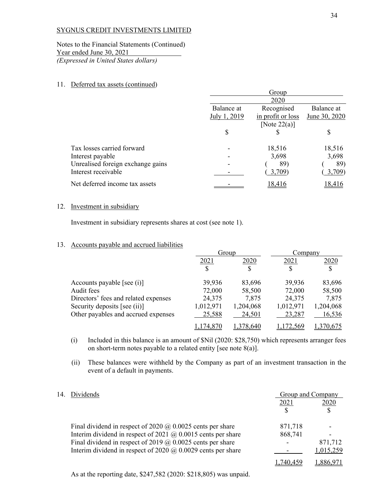Notes to the Financial Statements (Continued) Year ended June 30, 2021 *(Expressed in United States dollars)* 

#### 11. Deferred tax assets (continued)

|                                   | Group<br>2020 |                   |               |  |  |
|-----------------------------------|---------------|-------------------|---------------|--|--|
|                                   |               |                   |               |  |  |
|                                   | Balance at    | Recognised        | Balance at    |  |  |
|                                   | July 1, 2019  | in profit or loss | June 30, 2020 |  |  |
|                                   |               | [Note $22(a)$ ]   |               |  |  |
|                                   | \$            |                   | \$            |  |  |
| Tax losses carried forward        |               | 18,516            | 18,516        |  |  |
| Interest payable                  |               | 3,698             | 3,698         |  |  |
| Unrealised foreign exchange gains |               | 89)               | 89)           |  |  |
| Interest receivable               |               | 3,709)            | 3,709         |  |  |
| Net deferred income tax assets    |               | 18,416            | 18,416        |  |  |

## 12. Investment in subsidiary

Investment in subsidiary represents shares at cost (see note 1).

## 13. Accounts payable and accrued liabilities

|                                      |           | Group     |           | Company       |  |
|--------------------------------------|-----------|-----------|-----------|---------------|--|
|                                      | 2021      | 2020      | 2021      | 2020          |  |
|                                      | \$        | \$        | \$        |               |  |
| Accounts payable [see $(i)$ ]        | 39,936    | 83,696    | 39,936    | 83,696        |  |
| Audit fees                           | 72,000    | 58,500    | 72,000    | 58,500        |  |
| Directors' fees and related expenses | 24,375    | 7,875     | 24,375    | 7,875         |  |
| Security deposits [see (ii)]         | 1,012,971 | 1,204,068 | 1,012,971 | 1,204,068     |  |
| Other payables and accrued expenses  | 25,588    | 24,501    | 23,287    | 16,536        |  |
|                                      | 4.87      | 78.640    | 2,569     | <u>70,675</u> |  |

- (i) Included in this balance is an amount of \$Nil (2020: \$28,750) which represents arranger fees on short-term notes payable to a related entity [see note 8(a)].
- (ii) These balances were withheld by the Company as part of an investment transaction in the event of a default in payments.

| 14. | Dividends                                                           |         | Group and Company |
|-----|---------------------------------------------------------------------|---------|-------------------|
|     |                                                                     | 2021    | 2020              |
|     |                                                                     |         |                   |
|     | Final dividend in respect of 2020 $\omega$ 0.0025 cents per share   | 871,718 |                   |
|     | Interim dividend in respect of 2021 $\omega$ 0.0015 cents per share | 868,741 |                   |
|     | Final dividend in respect of 2019 $\omega$ 0.0025 cents per share   |         | 871,712           |
|     | Interim dividend in respect of 2020 $\omega$ 0.0029 cents per share |         | 1,015,259         |
|     |                                                                     |         |                   |

As at the reporting date, \$247,582 (2020: \$218,805) was unpaid.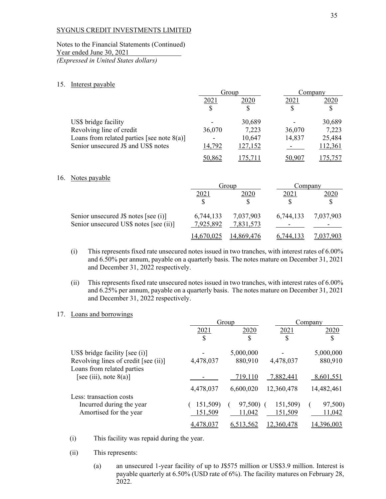Notes to the Financial Statements (Continued) Year ended June 30, 2021

*(Expressed in United States dollars)* 

15. Interest payable

|                                               | Group                    |         |        | Company |
|-----------------------------------------------|--------------------------|---------|--------|---------|
|                                               | 2021                     | 2020    | 2021   | 2020    |
|                                               |                          |         |        |         |
| US\$ bridge facility                          |                          | 30,689  |        | 30,689  |
| Revolving line of credit                      | 36,070                   | 7,223   | 36,070 | 7,223   |
| Loans from related parties [see note $8(a)$ ] | $\overline{\phantom{a}}$ | 10,647  | 14,837 | 25,484  |
| Senior unsecured J\$ and US\$ notes           | 14,792                   | 127,152 |        | 112,361 |
|                                               | <u>50,862</u>            |         |        |         |

16. Notes payable

|                                        | Group      |            |           | Company   |  |
|----------------------------------------|------------|------------|-----------|-----------|--|
|                                        | 2021       |            | 2021      | 2020      |  |
|                                        |            |            |           |           |  |
| Senior unsecured J\$ notes [see (i)]   | 6,744,133  | 7,037,903  | 6,744,133 | 7,037,903 |  |
| Senior unsecured US\$ notes [see (ii)] | 7,925,892  | 7,831,573  |           |           |  |
|                                        | 14,670,025 | 14.869.476 | 744.133   | ,037,903  |  |

- (i) This represents fixed rate unsecured notes issued in two tranches, with interest rates of 6.00% and 6.50% per annum, payable on a quarterly basis. The notes mature on December 31, 2021 and December 31, 2022 respectively.
- (ii) This represents fixed rate unsecured notes issued in two tranches, with interest rates of 6.00% and 6.25% per annum, payable on a quarterly basis. The notes mature on December 31, 2021 and December 31, 2022 respectively.
- 17. Loans and borrowings

|                                      |               | Group     |            | Company    |
|--------------------------------------|---------------|-----------|------------|------------|
|                                      | 2021          | 2020      | 2021       | 2020       |
|                                      | <sup>\$</sup> | \$        | \$         | \$         |
| US\$ bridge facility [see $(i)$ ]    |               | 5,000,000 |            | 5,000,000  |
| Revolving lines of credit [see (ii)] | 4,478,037     | 880,910   | 4,478,037  | 880,910    |
| Loans from related parties           |               |           |            |            |
| [see (iii), note $8(a)$ ]            |               | 719,110   | 7,882,441  | 8,601,551  |
|                                      | 4,478,037     | 6,600,020 | 12,360,478 | 14,482,461 |
| Less: transaction costs              |               |           |            |            |
| Incurred during the year             | 151,509)      | 97,500)   | 151,509)   | 97,500)    |
| Amortised for the year               | 151,509       | 11,042    | 151,509    | 11,042     |
|                                      | 4,478,037     | 6,513,562 | 12,360,478 | 14,396,003 |

- (i) This facility was repaid during the year.
- (ii) This represents:
	- (a) an unsecured 1-year facility of up to J\$575 million or US\$3.9 million. Interest is payable quarterly at 6.50% (USD rate of 6%). The facility matures on February 28, 2022.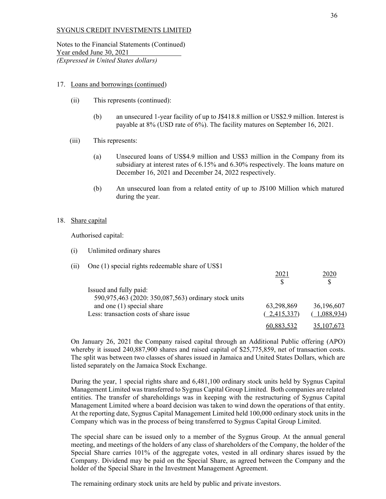Notes to the Financial Statements (Continued) Year ended June 30, 2021 *(Expressed in United States dollars)* 

## 17. Loans and borrowings (continued)

- (ii) This represents (continued):
	- (b) an unsecured 1-year facility of up to J\$418.8 million or US\$2.9 million. Interest is payable at 8% (USD rate of 6%). The facility matures on September 16, 2021.
- (iii) This represents:
	- (a) Unsecured loans of US\$4.9 million and US\$3 million in the Company from its subsidiary at interest rates of 6.15% and 6.30% respectively. The loans mature on December 16, 2021 and December 24, 2022 respectively.
	- (b) An unsecured loan from a related entity of up to J\$100 Million which matured during the year.

#### 18. Share capital

Authorised capital:

- (i) Unlimited ordinary shares
- (ii) One (1) special rights redeemable share of US\$1

|                                                      |            | S           |
|------------------------------------------------------|------------|-------------|
| Issued and fully paid:                               |            |             |
| 590,975,463 (2020: 350,087,563) ordinary stock units |            |             |
| and one (1) special share                            | 63,298,869 | 36,196,607  |
| Less: transaction costs of share issue               | 2,415,337  | (1,088,934) |
|                                                      | 60,883,532 | 35,10/0.6/3 |

On January 26, 2021 the Company raised capital through an Additional Public offering (APO) whereby it issued 240,887,900 shares and raised capital of \$25,775,859, net of transaction costs. The split was between two classes of shares issued in Jamaica and United States Dollars, which are listed separately on the Jamaica Stock Exchange.

During the year, 1 special rights share and 6,481,100 ordinary stock units held by Sygnus Capital Management Limited was transferred to Sygnus Capital Group Limited. Both companies are related entities. The transfer of shareholdings was in keeping with the restructuring of Sygnus Capital Management Limited where a board decision was taken to wind down the operations of that entity. At the reporting date, Sygnus Capital Management Limited held 100,000 ordinary stock units in the Company which was in the process of being transferred to Sygnus Capital Group Limited.

The special share can be issued only to a member of the Sygnus Group. At the annual general meeting, and meetings of the holders of any class of shareholders of the Company, the holder of the Special Share carries 101% of the aggregate votes, vested in all ordinary shares issued by the Company. Dividend may be paid on the Special Share, as agreed between the Company and the holder of the Special Share in the Investment Management Agreement.

The remaining ordinary stock units are held by public and private investors.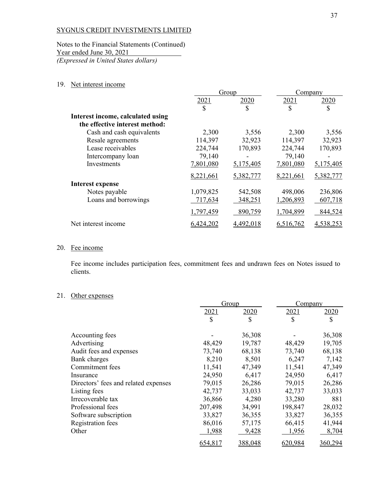Notes to the Financial Statements (Continued) Year ended June 30, 2021

*(Expressed in United States dollars)* 

# 19. Net interest income

|                                   |              | Group     |             | Company       |
|-----------------------------------|--------------|-----------|-------------|---------------|
|                                   | 2021         | 2020      | 2021        | 2020          |
|                                   | $\mathbb{S}$ | \$        | $\mathbf S$ | <sup>\$</sup> |
| Interest income, calculated using |              |           |             |               |
| the effective interest method:    |              |           |             |               |
| Cash and cash equivalents         | 2,300        | 3,556     | 2,300       | 3,556         |
| Resale agreements                 | 114,397      | 32,923    | 114,397     | 32,923        |
| Lease receivables                 | 224,744      | 170,893   | 224,744     | 170,893       |
| Intercompany loan                 | 79,140       |           | 79,140      |               |
| Investments                       | 7,801,080    | 5,175,405 | 7,801,080   | 5,175,405     |
|                                   | 8,221,661    | 5,382,777 | 8,221,661   | 5,382,777     |
| <b>Interest expense</b>           |              |           |             |               |
| Notes payable                     | 1,079,825    | 542,508   | 498,006     | 236,806       |
| Loans and borrowings              | 717,634      | 348,251   | 1,206,893   | 607,718       |
|                                   | 1,797,459    | 890,759   | 1,704,899   | 844,524       |
| Net interest income               | 6.424.202    | 4,492,018 | 6,516,762   | 4,538,253     |

# 20. Fee income

Fee income includes participation fees, commitment fees and undrawn fees on Notes issued to clients.

# 21. Other expenses

|                                      | Group        |         | Company |         |
|--------------------------------------|--------------|---------|---------|---------|
|                                      | 2021         | 2020    | 2021    | 2020    |
|                                      | $\mathbb{S}$ | \$      | \$      | \$      |
| Accounting fees                      |              | 36,308  |         | 36,308  |
| Advertising                          | 48,429       | 19,787  | 48,429  | 19,705  |
| Audit fees and expenses              | 73,740       | 68,138  | 73,740  | 68,138  |
| Bank charges                         | 8,210        | 8,501   | 6,247   | 7,142   |
| Commitment fees                      | 11,541       | 47,349  | 11,541  | 47,349  |
| Insurance                            | 24,950       | 6,417   | 24,950  | 6,417   |
| Directors' fees and related expenses | 79,015       | 26,286  | 79,015  | 26,286  |
| Listing fees                         | 42,737       | 33,033  | 42,737  | 33,033  |
| Irrecoverable tax                    | 36,866       | 4,280   | 33,280  | 881     |
| Professional fees                    | 207,498      | 34,991  | 198,847 | 28,032  |
| Software subscription                | 33,827       | 36,355  | 33,827  | 36,355  |
| Registration fees                    | 86,016       | 57,175  | 66,415  | 41,944  |
| Other                                | 1,988        | 9,428   | 1,956   | 8,704   |
|                                      | 654,817      | 388,048 | 620,984 | 360,294 |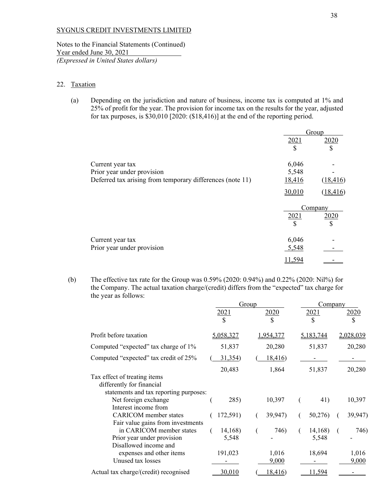Notes to the Financial Statements (Continued) Year ended June 30, 2021 *(Expressed in United States dollars)* 

## 22. Taxation

(a) Depending on the jurisdiction and nature of business, income tax is computed at 1% and 25% of profit for the year. The provision for income tax on the results for the year, adjusted for tax purposes, is  $$30,010$  [2020:  $($18,416)$ ] at the end of the reporting period.

|                                                           |               | Group     |
|-----------------------------------------------------------|---------------|-----------|
|                                                           | 2021          | 2020      |
|                                                           | <sup>\$</sup> | S         |
|                                                           |               |           |
| Current year tax                                          | 6,046         |           |
| Prior year under provision                                | 5,548         |           |
| Deferred tax arising from temporary differences (note 11) | <u>18,416</u> | (18, 416) |
|                                                           | 30,010        | (18, 416) |
|                                                           |               | Company   |
|                                                           | 2021          | 2020      |
|                                                           | <sup>\$</sup> | \$.       |
| Current year tax                                          | 6,046         |           |
| Prior year under provision                                | 5,548         |           |
|                                                           |               |           |
|                                                           |               |           |

(b) The effective tax rate for the Group was 0.59% (2020: 0.94%) and 0.22% (2020: Nil%) for the Company. The actual taxation charge/(credit) differs from the "expected" tax charge for the year as follows:

|                                                                   | Group |           | <u>Company</u> |           |  |           |
|-------------------------------------------------------------------|-------|-----------|----------------|-----------|--|-----------|
|                                                                   |       | 2021      | 2020           | 2021      |  | 2020      |
|                                                                   |       | S         | \$             | \$        |  | S         |
| Profit before taxation                                            |       | 5,058,327 | 1,954,377      | 5,183,744 |  | 2,028,039 |
| Computed "expected" tax charge of 1%                              |       | 51,837    | 20,280         | 51,837    |  | 20,280    |
| Computed "expected" tax credit of 25%                             |       | 31,354)   | 18,416         |           |  |           |
|                                                                   |       | 20,483    | 1,864          | 51,837    |  | 20,280    |
| Tax effect of treating items<br>differently for financial         |       |           |                |           |  |           |
| statements and tax reporting purposes:                            |       |           |                |           |  |           |
| Net foreign exchange<br>Interest income from                      |       | 285)      | 10,397         | 41)       |  | 10,397    |
| <b>CARICOM</b> member states<br>Fair value gains from investments |       | 172,591)  | 39,947)        | 50,276)   |  | 39,947)   |
| in CARICOM member states                                          |       | 14,168)   | 746)           | 14,168)   |  | 746)      |
| Prior year under provision<br>Disallowed income and               |       | 5,548     |                | 5,548     |  |           |
| expenses and other items                                          |       | 191,023   | 1,016          | 18,694    |  | 1,016     |
| Unused tax losses                                                 |       |           | 9,000          |           |  | 9,000     |
| Actual tax charge/(credit) recognised                             |       | 30,010    | 18,416)        | 11,594    |  |           |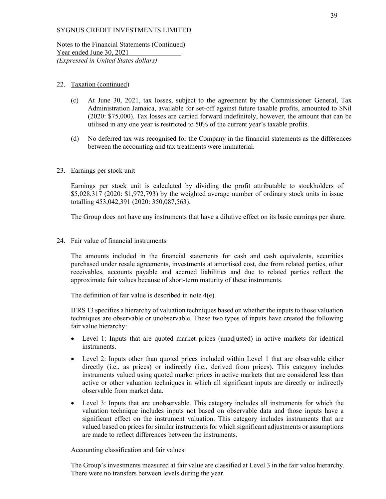Notes to the Financial Statements (Continued) Year ended June 30, 2021 *(Expressed in United States dollars)* 

## 22. Taxation (continued)

- (c) At June 30, 2021, tax losses, subject to the agreement by the Commissioner General, Tax Administration Jamaica, available for set-off against future taxable profits, amounted to \$Nil (2020: \$75,000). Tax losses are carried forward indefinitely, however, the amount that can be utilised in any one year is restricted to 50% of the current year's taxable profits.
- (d) No deferred tax was recognised for the Company in the financial statements as the differences between the accounting and tax treatments were immaterial.

## 23. Earnings per stock unit

Earnings per stock unit is calculated by dividing the profit attributable to stockholders of \$5,028,317 (2020: \$1,972,793) by the weighted average number of ordinary stock units in issue totalling 453,042,391 (2020: 350,087,563).

The Group does not have any instruments that have a dilutive effect on its basic earnings per share.

## 24. Fair value of financial instruments

The amounts included in the financial statements for cash and cash equivalents, securities purchased under resale agreements, investments at amortised cost, due from related parties, other receivables, accounts payable and accrued liabilities and due to related parties reflect the approximate fair values because of short-term maturity of these instruments.

The definition of fair value is described in note 4(e).

IFRS 13 specifies a hierarchy of valuation techniques based on whether the inputs to those valuation techniques are observable or unobservable. These two types of inputs have created the following fair value hierarchy:

- Level 1: Inputs that are quoted market prices (unadjusted) in active markets for identical instruments.
- Level 2: Inputs other than quoted prices included within Level 1 that are observable either directly (i.e., as prices) or indirectly (i.e., derived from prices). This category includes instruments valued using quoted market prices in active markets that are considered less than active or other valuation techniques in which all significant inputs are directly or indirectly observable from market data.
- Level 3: Inputs that are unobservable. This category includes all instruments for which the valuation technique includes inputs not based on observable data and those inputs have a significant effect on the instrument valuation. This category includes instruments that are valued based on prices for similar instruments for which significant adjustments or assumptions are made to reflect differences between the instruments.

Accounting classification and fair values:

The Group's investments measured at fair value are classified at Level 3 in the fair value hierarchy. There were no transfers between levels during the year.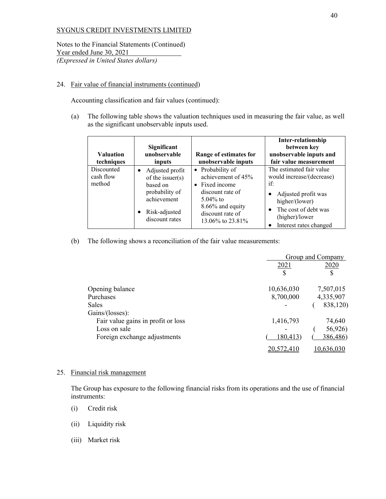Notes to the Financial Statements (Continued) Year ended June 30, 2021 *(Expressed in United States dollars)* 

#### 24. Fair value of financial instruments (continued)

Accounting classification and fair values (continued):

(a) The following table shows the valuation techniques used in measuring the fair value, as well as the significant unobservable inputs used.

| <b>Valuation</b><br>techniques    | Significant<br>unobservable<br>inputs                                                                                  | Range of estimates for<br>unobservable inputs                                                                                                           | Inter-relationship<br>between key<br>unobservable inputs and<br>fair value measurement                                                                                              |
|-----------------------------------|------------------------------------------------------------------------------------------------------------------------|---------------------------------------------------------------------------------------------------------------------------------------------------------|-------------------------------------------------------------------------------------------------------------------------------------------------------------------------------------|
| Discounted<br>cash flow<br>method | Adjusted profit<br>of the issuer $(s)$<br>based on<br>probability of<br>achievement<br>Risk-adjusted<br>discount rates | • Probability of<br>achievement of 45%<br>• Fixed income<br>discount rate of<br>$5.04\%$ to<br>8.66% and equity<br>discount rate of<br>13.06% to 23.81% | The estimated fair value<br>would increase/(decrease)<br>if:<br>Adjusted profit was<br>higher/(lower)<br>$\bullet$ The cost of debt was<br>(higher)/lower<br>Interest rates changed |

(b) The following shows a reconciliation of the fair value measurements:

|                                    | Group and Company |            |  |
|------------------------------------|-------------------|------------|--|
|                                    | <u>2021</u>       | 2020       |  |
|                                    | \$                |            |  |
| Opening balance                    | 10,636,030        | 7,507,015  |  |
| Purchases                          | 8,700,000         | 4,335,907  |  |
| <b>Sales</b>                       |                   | 838,120)   |  |
| Gains/(losses):                    |                   |            |  |
| Fair value gains in profit or loss | 1,416,793         | 74,640     |  |
| Loss on sale                       |                   | 56,926)    |  |
| Foreign exchange adjustments       | 180,413)          | 386,486)   |  |
|                                    | 20,572,410        | 10,636,030 |  |

#### 25. Financial risk management

The Group has exposure to the following financial risks from its operations and the use of financial instruments:

- (i) Credit risk
- (ii) Liquidity risk
- (iii) Market risk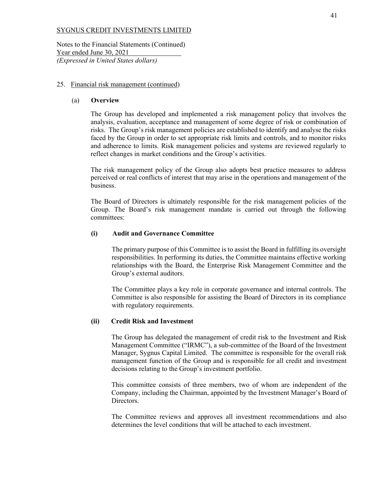Notes to the Financial Statements (Continued) Year ended June 30, 2021 *(Expressed in United States dollars)* 

#### 25. Financial risk management (continued)

#### (a) **Overview**

The Group has developed and implemented a risk management policy that involves the analysis, evaluation, acceptance and management of some degree of risk or combination of risks. The Group's risk management policies are established to identify and analyse the risks faced by the Group in order to set appropriate risk limits and controls, and to monitor risks and adherence to limits. Risk management policies and systems are reviewed regularly to reflect changes in market conditions and the Group's activities.

The risk management policy of the Group also adopts best practice measures to address perceived or real conflicts of interest that may arise in the operations and management of the business.

The Board of Directors is ultimately responsible for the risk management policies of the Group. The Board's risk management mandate is carried out through the following committees:

## **(i) Audit and Governance Committee**

The primary purpose of this Committee is to assist the Board in fulfilling its oversight responsibilities. In performing its duties, the Committee maintains effective working relationships with the Board, the Enterprise Risk Management Committee and the Group's external auditors.

The Committee plays a key role in corporate governance and internal controls. The Committee is also responsible for assisting the Board of Directors in its compliance with regulatory requirements.

## **(ii) Credit Risk and Investment**

The Group has delegated the management of credit risk to the Investment and Risk Management Committee ("IRMC"), a sub-committee of the Board of the Investment Manager, Sygnus Capital Limited. The committee is responsible for the overall risk management function of the Group and is responsible for all credit and investment decisions relating to the Group's investment portfolio.

This committee consists of three members, two of whom are independent of the Company, including the Chairman, appointed by the Investment Manager's Board of Directors.

The Committee reviews and approves all investment recommendations and also determines the level conditions that will be attached to each investment.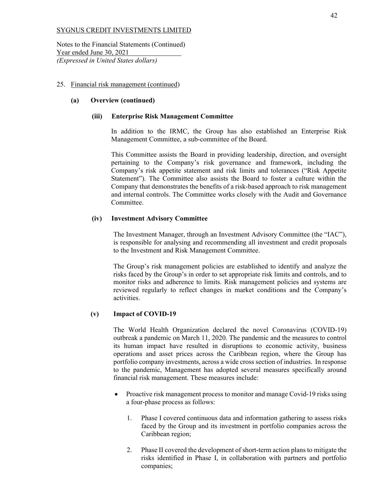Notes to the Financial Statements (Continued) Year ended June 30, 2021 *(Expressed in United States dollars)* 

## 25. Financial risk management (continued)

## **(a) Overview (continued)**

## **(iii) Enterprise Risk Management Committee**

In addition to the IRMC, the Group has also established an Enterprise Risk Management Committee, a sub-committee of the Board.

This Committee assists the Board in providing leadership, direction, and oversight pertaining to the Company's risk governance and framework, including the Company's risk appetite statement and risk limits and tolerances ("Risk Appetite Statement"). The Committee also assists the Board to foster a culture within the Company that demonstrates the benefits of a risk-based approach to risk management and internal controls. The Committee works closely with the Audit and Governance Committee.

## **(iv) Investment Advisory Committee**

The Investment Manager, through an Investment Advisory Committee (the "IAC"), is responsible for analysing and recommending all investment and credit proposals to the Investment and Risk Management Committee.

The Group's risk management policies are established to identify and analyze the risks faced by the Group's in order to set appropriate risk limits and controls, and to monitor risks and adherence to limits. Risk management policies and systems are reviewed regularly to reflect changes in market conditions and the Company's activities.

#### **(v) Impact of COVID-19**

The World Health Organization declared the novel Coronavirus (COVID-19) outbreak a pandemic on March 11, 2020. The pandemic and the measures to control its human impact have resulted in disruptions to economic activity, business operations and asset prices across the Caribbean region, where the Group has portfolio company investments, across a wide cross section of industries. In response to the pandemic, Management has adopted several measures specifically around financial risk management. These measures include:

- Proactive risk management process to monitor and manage Covid-19 risks using a four-phase process as follows:
	- 1. Phase I covered continuous data and information gathering to assess risks faced by the Group and its investment in portfolio companies across the Caribbean region;
	- 2. Phase II covered the development of short-term action plans to mitigate the risks identified in Phase I, in collaboration with partners and portfolio companies;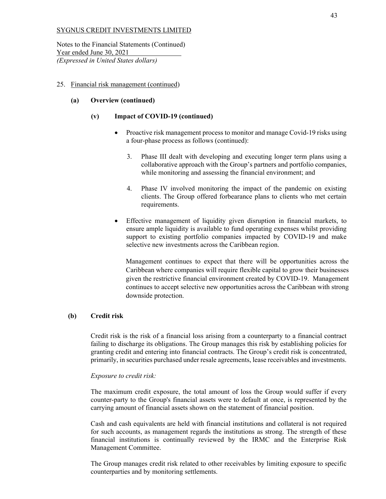Notes to the Financial Statements (Continued) Year ended June 30, 2021 *(Expressed in United States dollars)* 

## 25. Financial risk management (continued)

## **(a) Overview (continued)**

## **(v) Impact of COVID-19 (continued)**

- Proactive risk management process to monitor and manage Covid-19 risks using a four-phase process as follows (continued):
	- 3. Phase III dealt with developing and executing longer term plans using a collaborative approach with the Group's partners and portfolio companies, while monitoring and assessing the financial environment; and
	- 4. Phase IV involved monitoring the impact of the pandemic on existing clients. The Group offered forbearance plans to clients who met certain requirements.
- Effective management of liquidity given disruption in financial markets, to ensure ample liquidity is available to fund operating expenses whilst providing support to existing portfolio companies impacted by COVID-19 and make selective new investments across the Caribbean region.

Management continues to expect that there will be opportunities across the Caribbean where companies will require flexible capital to grow their businesses given the restrictive financial environment created by COVID-19. Management continues to accept selective new opportunities across the Caribbean with strong downside protection.

## **(b) Credit risk**

Credit risk is the risk of a financial loss arising from a counterparty to a financial contract failing to discharge its obligations. The Group manages this risk by establishing policies for granting credit and entering into financial contracts. The Group's credit risk is concentrated, primarily, in securities purchased under resale agreements, lease receivables and investments.

#### *Exposure to credit risk:*

The maximum credit exposure, the total amount of loss the Group would suffer if every counter-party to the Group's financial assets were to default at once, is represented by the carrying amount of financial assets shown on the statement of financial position.

Cash and cash equivalents are held with financial institutions and collateral is not required for such accounts, as management regards the institutions as strong. The strength of these financial institutions is continually reviewed by the IRMC and the Enterprise Risk Management Committee.

The Group manages credit risk related to other receivables by limiting exposure to specific counterparties and by monitoring settlements.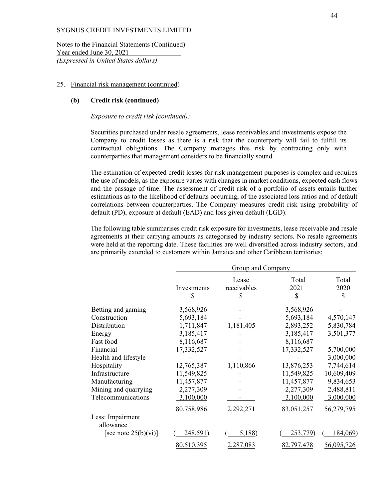Notes to the Financial Statements (Continued) Year ended June 30, 2021 *(Expressed in United States dollars)* 

#### 25. Financial risk management (continued)

#### **(b) Credit risk (continued)**

#### *Exposure to credit risk (continued):*

Securities purchased under resale agreements, lease receivables and investments expose the Company to credit losses as there is a risk that the counterparty will fail to fulfill its contractual obligations. The Company manages this risk by contracting only with counterparties that management considers to be financially sound.

The estimation of expected credit losses for risk management purposes is complex and requires the use of models, as the exposure varies with changes in market conditions, expected cash flows and the passage of time. The assessment of credit risk of a portfolio of assets entails further estimations as to the likelihood of defaults occurring, of the associated loss ratios and of default correlations between counterparties. The Company measures credit risk using probability of default (PD), exposure at default (EAD) and loss given default (LGD).

The following table summarises credit risk exposure for investments, lease receivable and resale agreements at their carrying amounts as categorised by industry sectors. No resale agreements were held at the reporting date. These facilities are well diversified across industry sectors, and are primarily extended to customers within Jamaica and other Caribbean territories:

|                               | Group and Company |                      |                      |                  |  |
|-------------------------------|-------------------|----------------------|----------------------|------------------|--|
|                               | Investments       | Lease<br>receivables | Total<br><u>2021</u> | Total<br>2020    |  |
|                               | \$                | \$                   | $\mathbf S$          | $\mathbf S$      |  |
| Betting and gaming            | 3,568,926         |                      | 3,568,926            |                  |  |
| Construction                  | 5,693,184         |                      | 5,693,184            | 4,570,147        |  |
| Distribution                  | 1,711,847         | 1,181,405            | 2,893,252            | 5,830,784        |  |
| Energy                        | 3,185,417         |                      | 3,185,417            | 3,501,377        |  |
| Fast food                     | 8,116,687         |                      | 8,116,687            |                  |  |
| Financial                     | 17,332,527        |                      | 17,332,527           | 5,700,000        |  |
| Health and lifestyle          |                   |                      |                      | 3,000,000        |  |
| Hospitality                   | 12,765,387        | 1,110,866            | 13,876,253           | 7,744,614        |  |
| Infrastructure                | 11,549,825        |                      | 11,549,825           | 10,609,409       |  |
| Manufacturing                 | 11,457,877        |                      | 11,457,877           | 9,834,653        |  |
| Mining and quarrying          | 2,277,309         |                      | 2,277,309            | 2,488,811        |  |
| Telecommunications            | 3,100,000         |                      | 3,100,000            | 3,000,000        |  |
|                               | 80,758,986        | 2,292,271            | 83,051,257           | 56,279,795       |  |
| Less: Impairment<br>allowance |                   |                      |                      |                  |  |
| [see note $25(b)(vi)$ ]       | 248,591)          | 5,188                | 253,779)             | <u>184,069</u> ) |  |
|                               | 80,510,395        | 2,287,083            | 82,797,478           | 56,095,726       |  |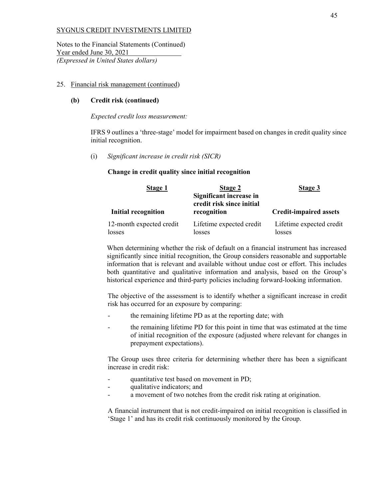Notes to the Financial Statements (Continued) Year ended June 30, 2021 *(Expressed in United States dollars)* 

## 25. Financial risk management (continued)

## **(b) Credit risk (continued)**

#### *Expected credit loss measurement:*

IFRS 9 outlines a 'three-stage' model for impairment based on changes in credit quality since initial recognition.

#### (i) *Significant increase in credit risk (SICR)*

#### **Change in credit quality since initial recognition**

| Stage 1                            | Stage 2<br>Significant increase in<br>credit risk since initial | Stage 3                            |  |  |  |
|------------------------------------|-----------------------------------------------------------------|------------------------------------|--|--|--|
| <b>Initial recognition</b>         | recognition                                                     | <b>Credit-impaired assets</b>      |  |  |  |
| 12-month expected credit<br>losses | Lifetime expected credit<br>losses                              | Lifetime expected credit<br>losses |  |  |  |

When determining whether the risk of default on a financial instrument has increased significantly since initial recognition, the Group considers reasonable and supportable information that is relevant and available without undue cost or effort. This includes both quantitative and qualitative information and analysis, based on the Group's historical experience and third-party policies including forward-looking information.

The objective of the assessment is to identify whether a significant increase in credit risk has occurred for an exposure by comparing:

- the remaining lifetime PD as at the reporting date; with
- the remaining lifetime PD for this point in time that was estimated at the time of initial recognition of the exposure (adjusted where relevant for changes in prepayment expectations).

The Group uses three criteria for determining whether there has been a significant increase in credit risk:

- quantitative test based on movement in PD;
- qualitative indicators; and
- a movement of two notches from the credit risk rating at origination.

A financial instrument that is not credit-impaired on initial recognition is classified in 'Stage 1' and has its credit risk continuously monitored by the Group.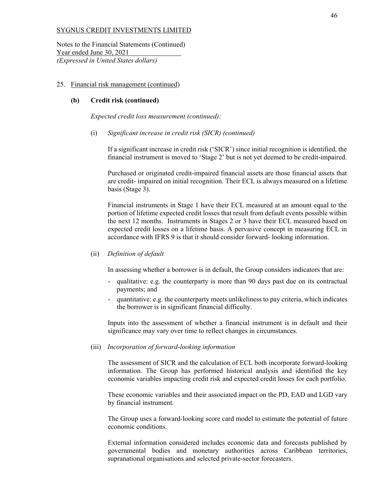Notes to the Financial Statements (Continued) Year ended June 30, 2021 *(Expressed in United States dollars)* 

#### 25. Financial risk management (continued)

#### **(b) Credit risk (continued)**

*Expected credit loss measurement (continued):* 

(i) *Significant increase in credit risk (SICR) (continued)* 

If a significant increase in credit risk ('SICR') since initial recognition is identified, the financial instrument is moved to 'Stage 2' but is not yet deemed to be credit-impaired.

Purchased or originated credit-impaired financial assets are those financial assets that are credit- impaired on initial recognition. Their ECL is always measured on a lifetime basis (Stage 3).

Financial instruments in Stage 1 have their ECL measured at an amount equal to the portion of lifetime expected credit losses that result from default events possible within the next 12 months. Instruments in Stages 2 or 3 have their ECL measured based on expected credit losses on a lifetime basis. A pervasive concept in measuring ECL in accordance with IFRS 9 is that it should consider forward- looking information.

#### (ii) *Definition of default*

In assessing whether a borrower is in default, the Group considers indicators that are:

- qualitative: e.g. the counterparty is more than 90 days past due on its contractual payments; and
- quantitative: e.g. the counterparty meets unlikeliness to pay criteria, which indicates the borrower is in significant financial difficulty.

Inputs into the assessment of whether a financial instrument is in default and their significance may vary over time to reflect changes in circumstances.

(iii) *Incorporation of forward-looking information* 

The assessment of SICR and the calculation of ECL both incorporate forward-looking information. The Group has performed historical analysis and identified the key economic variables impacting credit risk and expected credit losses for each portfolio.

These economic variables and their associated impact on the PD, EAD and LGD vary by financial instrument.

The Group uses a forward-looking score card model to estimate the potential of future economic conditions.

External information considered includes economic data and forecasts published by governmental bodies and monetary authorities across Caribbean territories, supranational organisations and selected private-sector forecasters.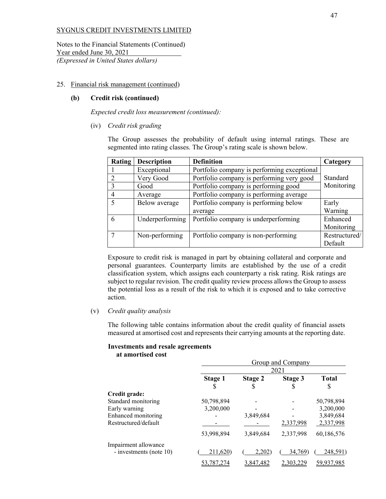Notes to the Financial Statements (Continued) Year ended June 30, 2021 *(Expressed in United States dollars)* 

#### 25. Financial risk management (continued)

#### **(b) Credit risk (continued)**

*Expected credit loss measurement (continued):* 

(iv) *Credit risk grading* 

The Group assesses the probability of default using internal ratings. These are segmented into rating classes. The Group's rating scale is shown below.

| Rating                   | <b>Description</b> | <b>Definition</b>                           | Category      |
|--------------------------|--------------------|---------------------------------------------|---------------|
|                          | Exceptional        | Portfolio company is performing exceptional |               |
|                          | Very Good          | Portfolio company is performing very good   | Standard      |
| 3                        | Good               | Portfolio company is performing good        | Monitoring    |
| 4                        | Average            | Portfolio company is performing average     |               |
| $\overline{\mathcal{L}}$ | Below average      | Portfolio company is performing below       | Early         |
|                          |                    | average                                     | Warning       |
| 6                        | Underperforming    | Portfolio company is underperforming        | Enhanced      |
|                          |                    |                                             | Monitoring    |
|                          | Non-performing     | Portfolio company is non-performing         | Restructured/ |
|                          |                    |                                             | Default       |

Exposure to credit risk is managed in part by obtaining collateral and corporate and personal guarantees. Counterparty limits are established by the use of a credit classification system, which assigns each counterparty a risk rating. Risk ratings are subject to regular revision. The credit quality review process allows the Group to assess the potential loss as a result of the risk to which it is exposed and to take corrective action.

#### (v) *Credit quality analysis*

The following table contains information about the credit quality of financial assets measured at amortised cost and represents their carrying amounts at the reporting date.

**Investments and resale agreements** 

#### **at amortised cost**

|                         |            | Group and Company |           |              |  |
|-------------------------|------------|-------------------|-----------|--------------|--|
|                         | 2021       |                   |           |              |  |
|                         | Stage 1    | Stage 2           | Stage 3   | <b>Total</b> |  |
|                         | \$         | \$                | S         | \$           |  |
| Credit grade:           |            |                   |           |              |  |
| Standard monitoring     | 50,798,894 |                   |           | 50,798,894   |  |
| Early warning           | 3,200,000  |                   |           | 3,200,000    |  |
| Enhanced monitoring     |            | 3,849,684         |           | 3,849,684    |  |
| Restructured/default    |            |                   | 2,337,998 | 2,337,998    |  |
|                         | 53,998,894 | 3,849,684         | 2,337,998 | 60,186,576   |  |
| Impairment allowance    |            |                   |           |              |  |
| - investments (note 10) | 211,620    | 2,202             | 34,769)   | 248,591)     |  |
|                         | 53,787,274 | 3,847,482         | 2,303,229 | 59,937,985   |  |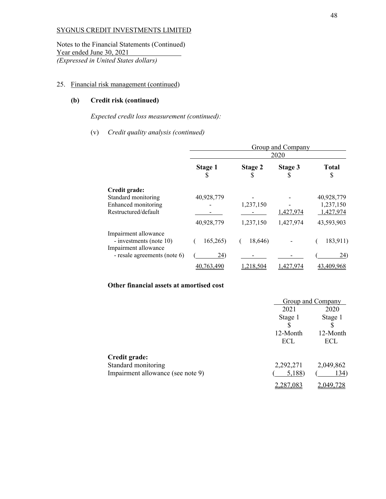Notes to the Financial Statements (Continued) Year ended June 30, 2021 *(Expressed in United States dollars)* 

# 25. Financial risk management (continued)

## **(b) Credit risk (continued)**

## *Expected credit loss measurement (continued):*

# (v) *Credit quality analysis (continued)*

|                                                      |                | Group and Company<br>2020 |              |                    |  |  |
|------------------------------------------------------|----------------|---------------------------|--------------|--------------------|--|--|
|                                                      | <b>Stage 1</b> | <b>Stage 2</b><br>S       | Stage 3<br>S | <b>Total</b><br>\$ |  |  |
| Credit grade:                                        |                |                           |              |                    |  |  |
| Standard monitoring                                  | 40,928,779     |                           |              | 40,928,779         |  |  |
| Enhanced monitoring                                  |                | 1,237,150                 |              | 1,237,150          |  |  |
| Restructured/default                                 |                |                           | 1,427,974    | 1,427,974          |  |  |
|                                                      | 40,928,779     | 1,237,150                 | 1,427,974    | 43,593,903         |  |  |
| Impairment allowance<br>- investments (note 10)      | 165,265        | 18,646)                   |              | 183,911)           |  |  |
| Impairment allowance<br>- resale agreements (note 6) | 24)            |                           |              | 24)                |  |  |
|                                                      | 40,763,490     | 1,218,504                 | 1,427,974    | 43,409,968         |  |  |

## **Other financial assets at amortised cost**

|                                   | Group and Company |            |  |
|-----------------------------------|-------------------|------------|--|
|                                   | 2021              | 2020       |  |
|                                   | Stage 1           | Stage 1    |  |
|                                   |                   |            |  |
|                                   | 12-Month          | 12-Month   |  |
|                                   | ECL               | <b>ECL</b> |  |
| Credit grade:                     |                   |            |  |
| Standard monitoring               | 2,292,271         | 2,049,862  |  |
| Impairment allowance (see note 9) | 5,188)            | 134)       |  |
|                                   | <u>2,287,083</u>  | 2.049.728  |  |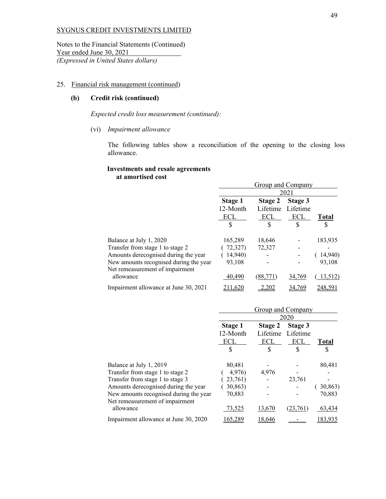Notes to the Financial Statements (Continued) Year ended June 30, 2021 *(Expressed in United States dollars)* 

# 25. Financial risk management (continued)

## **(b) Credit risk (continued)**

*Expected credit loss measurement (continued):* 

(vi) *Impairment allowance* 

The following tables show a reconciliation of the opening to the closing loss allowance.

# **Investments and resale agreements**

#### **at amortised cost**

|                                              | Group and Company |             |          |         |
|----------------------------------------------|-------------------|-------------|----------|---------|
|                                              | 2021              |             |          |         |
|                                              | <b>Stage 1</b>    | Stage 2     | Stage 3  |         |
|                                              | 12-Month          | Lifetime    | Lifetime |         |
|                                              | ECL               | ECL         | ECL      | Total   |
|                                              | \$                | $\mathbf S$ | \$       | S       |
| Balance at July 1, 2020                      | 165,289           | 18,646      |          | 183,935 |
| Transfer from stage 1 to stage 2             | 72,327            | 72,327      |          |         |
| Amounts derecognised during the year         | 14,940)           |             |          | 14,940) |
| New amounts recognised during the year       | 93.108            |             |          | 93.108  |
| Net remeasurement of impairment<br>allowance | 40,490            | (88, 771)   | 34,769   | 13,512) |
| Impairment allowance at June 30, 2021        | 211.620           |             |          | 248.59  |

|                                              | Group and Company |          |          |              |
|----------------------------------------------|-------------------|----------|----------|--------------|
|                                              | 2020              |          |          |              |
|                                              | Stage 1           | Stage 2  | Stage 3  |              |
|                                              | 12-Month          | Lifetime | Lifetime |              |
|                                              | ECL               | ECL      | ECL      | <b>Total</b> |
|                                              | \$                | \$       | ¢        | S            |
| Balance at July 1, 2019                      | 80,481            |          |          | 80,481       |
| Transfer from stage 1 to stage 2             | 4,976)            | 4,976    |          |              |
| Transfer from stage 1 to stage 3             | 23,761)           |          | 23,761   |              |
| Amounts derecognised during the year         | 30,863)           |          |          | 30,863)      |
| New amounts recognised during the year       | 70,883            |          |          | 70,883       |
| Net remeasurement of impairment<br>allowance | 73,525            | 13,670   | (23,761) | 63,434       |
| Impairment allowance at June 30, 2020        | 165,289           | 18,646   |          | 183,935      |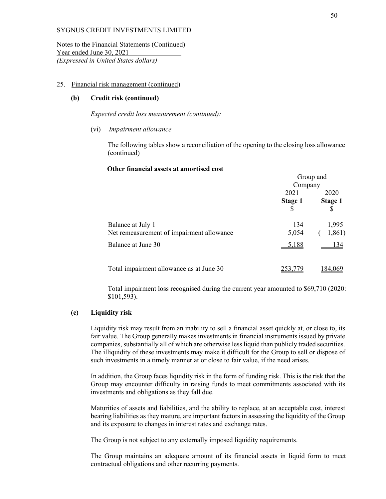Notes to the Financial Statements (Continued) Year ended June 30, 2021 *(Expressed in United States dollars)* 

#### 25. Financial risk management (continued)

## **(b) Credit risk (continued)**

*Expected credit loss measurement (continued):* 

(vi) *Impairment allowance* 

The following tables show a reconciliation of the opening to the closing loss allowance (continued)

#### **Other financial assets at amortised cost**

|                                           |         | Group and      |
|-------------------------------------------|---------|----------------|
|                                           | Company |                |
|                                           | 2021    | 2020           |
|                                           | Stage 1 | <b>Stage 1</b> |
|                                           |         |                |
| Balance at July 1                         | 134     | 1,995          |
| Net remeasurement of impairment allowance | 5,054   | 1,861)         |
| Balance at June 30                        | 5,188   | 134            |
| Total impairment allowance as at June 30  |         | 184,069        |

Total impairment loss recognised during the current year amounted to \$69,710 (2020: \$101,593).

#### **(c) Liquidity risk**

Liquidity risk may result from an inability to sell a financial asset quickly at, or close to, its fair value. The Group generally makes investments in financial instruments issued by private companies, substantially all of which are otherwise less liquid than publicly traded securities. The illiquidity of these investments may make it difficult for the Group to sell or dispose of such investments in a timely manner at or close to fair value, if the need arises.

In addition, the Group faces liquidity risk in the form of funding risk. This is the risk that the Group may encounter difficulty in raising funds to meet commitments associated with its investments and obligations as they fall due.

Maturities of assets and liabilities, and the ability to replace, at an acceptable cost, interest bearing liabilities as they mature, are important factors in assessing the liquidity of the Group and its exposure to changes in interest rates and exchange rates.

The Group is not subject to any externally imposed liquidity requirements.

The Group maintains an adequate amount of its financial assets in liquid form to meet contractual obligations and other recurring payments.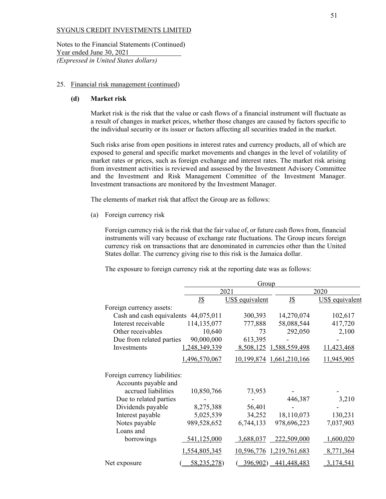Notes to the Financial Statements (Continued) Year ended June 30, 2021 *(Expressed in United States dollars)* 

#### 25. Financial risk management (continued)

#### **(d) Market risk**

Market risk is the risk that the value or cash flows of a financial instrument will fluctuate as a result of changes in market prices, whether those changes are caused by factors specific to the individual security or its issuer or factors affecting all securities traded in the market.

Such risks arise from open positions in interest rates and currency products, all of which are exposed to general and specific market movements and changes in the level of volatility of market rates or prices, such as foreign exchange and interest rates. The market risk arising from investment activities is reviewed and assessed by the Investment Advisory Committee and the Investment and Risk Management Committee of the Investment Manager. Investment transactions are monitored by the Investment Manager.

The elements of market risk that affect the Group are as follows:

(a) Foreign currency risk

Foreign currency risk is the risk that the fair value of, or future cash flows from, financial instruments will vary because of exchange rate fluctuations. The Group incurs foreign currency risk on transactions that are denominated in currencies other than the United States dollar. The currency giving rise to this risk is the Jamaica dollar.

The exposure to foreign currency risk at the reporting date was as follows:

|                               | Group         |                 |                          |                 |
|-------------------------------|---------------|-----------------|--------------------------|-----------------|
|                               |               | 2021            |                          | 2020            |
|                               | <u>J\$</u>    | US\$ equivalent | <u>J\$</u>               | US\$ equivalent |
| Foreign currency assets:      |               |                 |                          |                 |
| Cash and cash equivalents     | 44,075,011    | 300,393         | 14,270,074               | 102,617         |
| Interest receivable           | 114,135,077   | 777,888         | 58,088,544               | 417,720         |
| Other receivables             | 10,640        | 73              | 292,050                  | 2,100           |
| Due from related parties      | 90,000,000    | 613,395         |                          |                 |
| Investments                   | 1,248,349,339 |                 | 8,508,125 1,588,559,498  | 11,423,468      |
|                               | 1,496,570,067 |                 | 10,199,874 1,661,210,166 | 11,945,905      |
| Foreign currency liabilities: |               |                 |                          |                 |
| Accounts payable and          |               |                 |                          |                 |
| accrued liabilities           | 10,850,766    | 73,953          |                          |                 |
| Due to related parties        |               |                 | 446,387                  | 3,210           |
| Dividends payable             | 8,275,388     | 56,401          |                          |                 |
| Interest payable              | 5,025,539     | 34,252          | 18,110,073               | 130,231         |
| Notes payable                 | 989,528,652   | 6,744,133       | 978,696,223              | 7,037,903       |
| Loans and                     |               |                 |                          |                 |
| borrowings                    | 541,125,000   | 3,688,037       | 222,509,000              | 1,600,020       |
|                               | 1,554,805,345 |                 | 10,596,776 1,219,761,683 | 8,771,364       |
| Net exposure                  | 58,235,278)   | 396,902)        | 441,448,483              | 3,174,541       |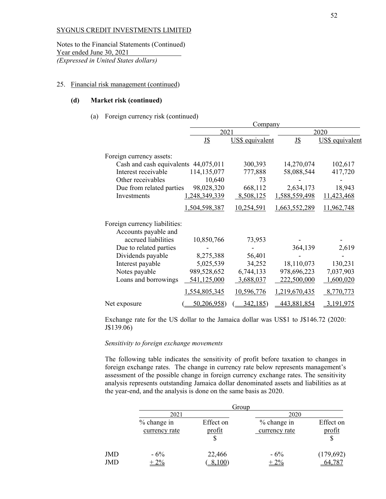Notes to the Financial Statements (Continued) Year ended June 30, 2021 *(Expressed in United States dollars)* 

## 25. Financial risk management (continued)

## **(d) Market risk (continued)**

#### (a) Foreign currency risk (continued)

|                                      |               | Company         |               |                 |  |
|--------------------------------------|---------------|-----------------|---------------|-----------------|--|
|                                      | 2021          |                 |               | 2020            |  |
|                                      | <u>J\$</u>    | US\$ equivalent | <u>J\$</u>    | US\$ equivalent |  |
| Foreign currency assets:             |               |                 |               |                 |  |
| Cash and cash equivalents 44,075,011 |               | 300,393         | 14,270,074    | 102,617         |  |
| Interest receivable                  | 114,135,077   | 777,888         | 58,088,544    | 417,720         |  |
| Other receivables                    | 10,640        | 73              |               |                 |  |
| Due from related parties             | 98,028,320    | 668,112         | 2,634,173     | 18,943          |  |
| Investments                          | 1,248,349,339 | 8,508,125       | 1,588,559,498 | 11,423,468      |  |
|                                      | 1,504,598,387 | 10,254,591      | 1,663,552,289 | 11,962,748      |  |
| Foreign currency liabilities:        |               |                 |               |                 |  |
| Accounts payable and                 |               |                 |               |                 |  |
| accrued liabilities                  | 10,850,766    | 73,953          |               |                 |  |
| Due to related parties               |               |                 | 364,139       | 2,619           |  |
| Dividends payable                    | 8,275,388     | 56,401          |               |                 |  |
| Interest payable                     | 5,025,539     | 34,252          | 18,110,073    | 130,231         |  |
| Notes payable                        | 989,528,652   | 6,744,133       | 978,696,223   | 7,037,903       |  |
| Loans and borrowings                 | 541,125,000   | 3,688,037       | 222,500,000   | 1,600,020       |  |
|                                      | 1,554,805,345 | 10,596,776      | 1,219,670,435 | 8,770,773       |  |
| Net exposure                         | 50,206,958    | 342,185)        | 443,881,854   | 3,191,975       |  |

Exchange rate for the US dollar to the Jamaica dollar was US\$1 to J\$146.72 (2020: J\$139.06)

## *Sensitivity to foreign exchange movements*

The following table indicates the sensitivity of profit before taxation to changes in foreign exchange rates. The change in currency rate below represents management's assessment of the possible change in foreign currency exchange rates. The sensitivity analysis represents outstanding Jamaica dollar denominated assets and liabilities as at the year-end, and the analysis is done on the same basis as 2020.

|            |               | Group        |               |           |
|------------|---------------|--------------|---------------|-----------|
|            | 2021          |              | 2020          |           |
|            | $%$ change in | Effect on    | % change in   | Effect on |
|            | currency rate | profit       | currency rate | profit    |
|            |               |              |               |           |
| JMD        | $-6\%$        | 22,466       | $-6%$         | (179,692) |
| <b>JMD</b> | $+2\%$        | $,100^\circ$ | $+2%$         |           |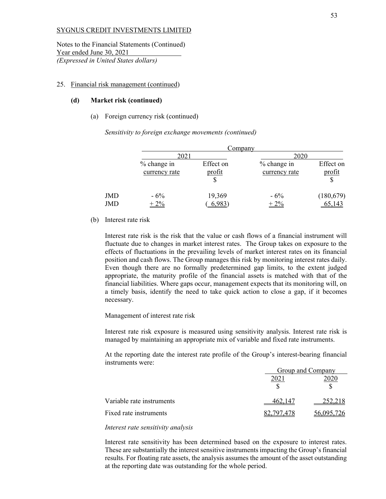Notes to the Financial Statements (Continued) Year ended June 30, 2021 *(Expressed in United States dollars)* 

#### 25. Financial risk management (continued)

#### **(d) Market risk (continued)**

#### (a) Foreign currency risk (continued)

*Sensitivity to foreign exchange movements (continued)* 

| % change in   | Effect on        | % change in             | Effect on                          |
|---------------|------------------|-------------------------|------------------------------------|
| currency rate | profit           | currency rate           | profit                             |
|               |                  |                         |                                    |
|               |                  |                         |                                    |
|               |                  |                         | (180, 679)                         |
|               |                  |                         | 65,143                             |
|               | $-6\%$<br>$+2\%$ | 2021<br>19,369<br>6,983 | Company<br>2020<br>$-6%$<br>$+2\%$ |

#### (b) Interest rate risk

Interest rate risk is the risk that the value or cash flows of a financial instrument will fluctuate due to changes in market interest rates. The Group takes on exposure to the effects of fluctuations in the prevailing levels of market interest rates on its financial position and cash flows. The Group manages this risk by monitoring interest rates daily. Even though there are no formally predetermined gap limits, to the extent judged appropriate, the maturity profile of the financial assets is matched with that of the financial liabilities. Where gaps occur, management expects that its monitoring will, on a timely basis, identify the need to take quick action to close a gap, if it becomes necessary.

Management of interest rate risk

Interest rate risk exposure is measured using sensitivity analysis. Interest rate risk is managed by maintaining an appropriate mix of variable and fixed rate instruments.

At the reporting date the interest rate profile of the Group's interest-bearing financial instruments were:

|                           | Group and Company |            |
|---------------------------|-------------------|------------|
|                           | 2021              | 2020       |
|                           |                   |            |
| Variable rate instruments | 462.147           | 252,218    |
| Fixed rate instruments    | 82 797 478        | 56,095,726 |

#### *Interest rate sensitivity analysis*

Interest rate sensitivity has been determined based on the exposure to interest rates. These are substantially the interest sensitive instruments impacting the Group's financial results. For floating rate assets, the analysis assumes the amount of the asset outstanding at the reporting date was outstanding for the whole period.